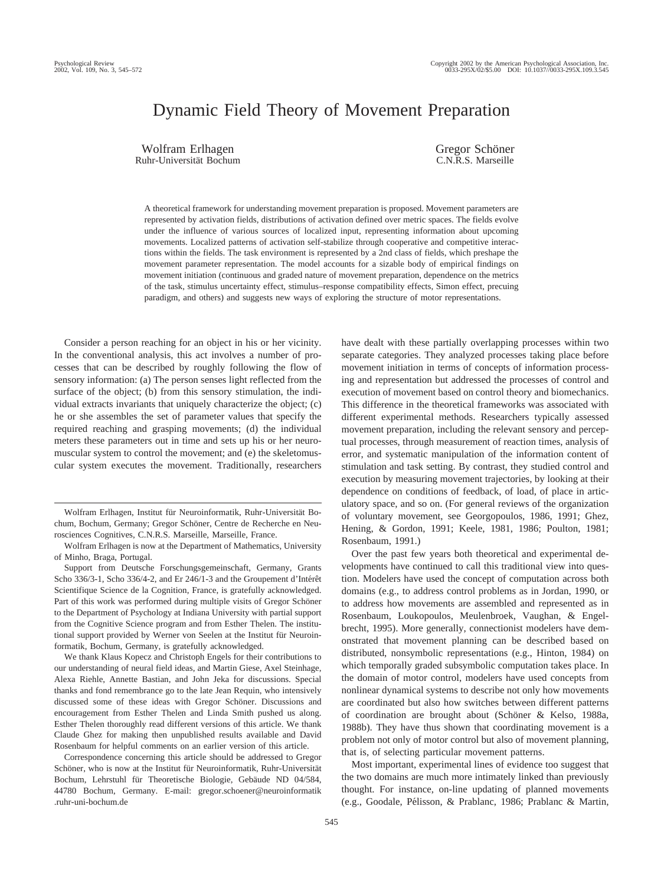# Dynamic Field Theory of Movement Preparation

Wolfram Erlhagen Ruhr-Universität Bochum Gregor Schöner C.N.R.S. Marseille

A theoretical framework for understanding movement preparation is proposed. Movement parameters are represented by activation fields, distributions of activation defined over metric spaces. The fields evolve under the influence of various sources of localized input, representing information about upcoming movements. Localized patterns of activation self-stabilize through cooperative and competitive interactions within the fields. The task environment is represented by a 2nd class of fields, which preshape the movement parameter representation. The model accounts for a sizable body of empirical findings on movement initiation (continuous and graded nature of movement preparation, dependence on the metrics of the task, stimulus uncertainty effect, stimulus–response compatibility effects, Simon effect, precuing paradigm, and others) and suggests new ways of exploring the structure of motor representations.

Consider a person reaching for an object in his or her vicinity. In the conventional analysis, this act involves a number of processes that can be described by roughly following the flow of sensory information: (a) The person senses light reflected from the surface of the object; (b) from this sensory stimulation, the individual extracts invariants that uniquely characterize the object; (c) he or she assembles the set of parameter values that specify the required reaching and grasping movements; (d) the individual meters these parameters out in time and sets up his or her neuromuscular system to control the movement; and (e) the skeletomuscular system executes the movement. Traditionally, researchers

We thank Klaus Kopecz and Christoph Engels for their contributions to our understanding of neural field ideas, and Martin Giese, Axel Steinhage, Alexa Riehle, Annette Bastian, and John Jeka for discussions. Special thanks and fond remembrance go to the late Jean Requin, who intensively discussed some of these ideas with Gregor Schöner. Discussions and encouragement from Esther Thelen and Linda Smith pushed us along. Esther Thelen thoroughly read different versions of this article. We thank Claude Ghez for making then unpublished results available and David Rosenbaum for helpful comments on an earlier version of this article.

Correspondence concerning this article should be addressed to Gregor Schöner, who is now at the Institut für Neuroinformatik, Ruhr-Universität Bochum, Lehrstuhl für Theoretische Biologie, Gebäude ND 04/584, 44780 Bochum, Germany. E-mail: gregor.schoener@neuroinformatik .ruhr-uni-bochum.de

have dealt with these partially overlapping processes within two separate categories. They analyzed processes taking place before movement initiation in terms of concepts of information processing and representation but addressed the processes of control and execution of movement based on control theory and biomechanics. This difference in the theoretical frameworks was associated with different experimental methods. Researchers typically assessed movement preparation, including the relevant sensory and perceptual processes, through measurement of reaction times, analysis of error, and systematic manipulation of the information content of stimulation and task setting. By contrast, they studied control and execution by measuring movement trajectories, by looking at their dependence on conditions of feedback, of load, of place in articulatory space, and so on. (For general reviews of the organization of voluntary movement, see Georgopoulos, 1986, 1991; Ghez, Hening, & Gordon, 1991; Keele, 1981, 1986; Poulton, 1981; Rosenbaum, 1991.)

Over the past few years both theoretical and experimental developments have continued to call this traditional view into question. Modelers have used the concept of computation across both domains (e.g., to address control problems as in Jordan, 1990, or to address how movements are assembled and represented as in Rosenbaum, Loukopoulos, Meulenbroek, Vaughan, & Engelbrecht, 1995). More generally, connectionist modelers have demonstrated that movement planning can be described based on distributed, nonsymbolic representations (e.g., Hinton, 1984) on which temporally graded subsymbolic computation takes place. In the domain of motor control, modelers have used concepts from nonlinear dynamical systems to describe not only how movements are coordinated but also how switches between different patterns of coordination are brought about (Schöner & Kelso, 1988a, 1988b). They have thus shown that coordinating movement is a problem not only of motor control but also of movement planning, that is, of selecting particular movement patterns.

Most important, experimental lines of evidence too suggest that the two domains are much more intimately linked than previously thought. For instance, on-line updating of planned movements (e.g., Goodale, Pélisson, & Prablanc, 1986; Prablanc & Martin,

Wolfram Erlhagen, Institut für Neuroinformatik, Ruhr-Universität Bochum, Bochum, Germany; Gregor Schöner, Centre de Recherche en Neurosciences Cognitives, C.N.R.S. Marseille, Marseille, France.

Wolfram Erlhagen is now at the Department of Mathematics, University of Minho, Braga, Portugal.

Support from Deutsche Forschungsgemeinschaft, Germany, Grants Scho  $336/3-1$ , Scho  $336/4-2$ , and Er  $246/1-3$  and the Groupement d'Intérêt Scientifique Science de la Cognition, France, is gratefully acknowledged. Part of this work was performed during multiple visits of Gregor Schöner to the Department of Psychology at Indiana University with partial support from the Cognitive Science program and from Esther Thelen. The institutional support provided by Werner von Seelen at the Institut für Neuroinformatik, Bochum, Germany, is gratefully acknowledged.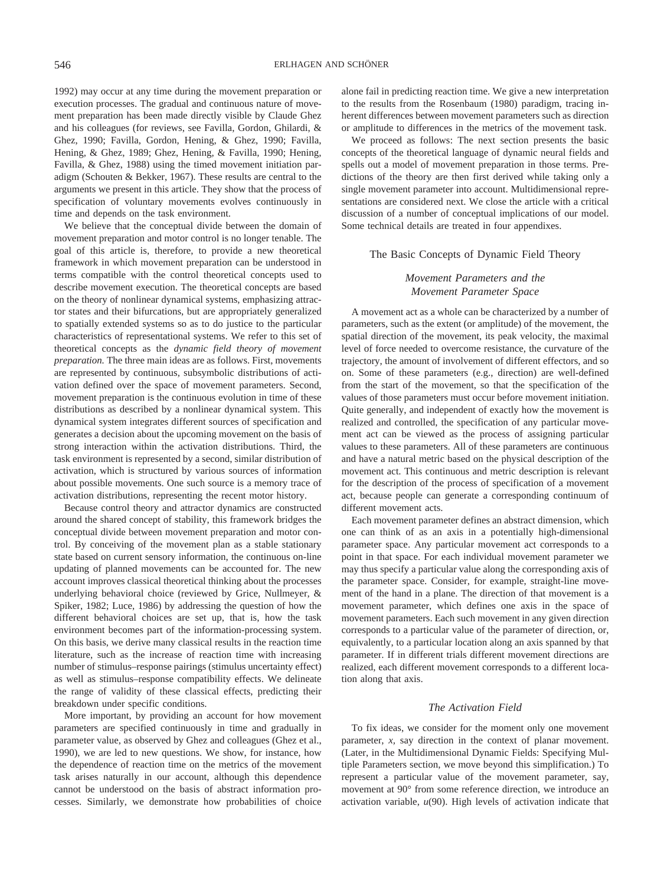1992) may occur at any time during the movement preparation or execution processes. The gradual and continuous nature of movement preparation has been made directly visible by Claude Ghez and his colleagues (for reviews, see Favilla, Gordon, Ghilardi, & Ghez, 1990; Favilla, Gordon, Hening, & Ghez, 1990; Favilla, Hening, & Ghez, 1989; Ghez, Hening, & Favilla, 1990; Hening, Favilla, & Ghez, 1988) using the timed movement initiation paradigm (Schouten & Bekker, 1967). These results are central to the arguments we present in this article. They show that the process of specification of voluntary movements evolves continuously in time and depends on the task environment.

We believe that the conceptual divide between the domain of movement preparation and motor control is no longer tenable. The goal of this article is, therefore, to provide a new theoretical framework in which movement preparation can be understood in terms compatible with the control theoretical concepts used to describe movement execution. The theoretical concepts are based on the theory of nonlinear dynamical systems, emphasizing attractor states and their bifurcations, but are appropriately generalized to spatially extended systems so as to do justice to the particular characteristics of representational systems. We refer to this set of theoretical concepts as the *dynamic field theory of movement preparation.* The three main ideas are as follows. First, movements are represented by continuous, subsymbolic distributions of activation defined over the space of movement parameters. Second, movement preparation is the continuous evolution in time of these distributions as described by a nonlinear dynamical system. This dynamical system integrates different sources of specification and generates a decision about the upcoming movement on the basis of strong interaction within the activation distributions. Third, the task environment is represented by a second, similar distribution of activation, which is structured by various sources of information about possible movements. One such source is a memory trace of activation distributions, representing the recent motor history.

Because control theory and attractor dynamics are constructed around the shared concept of stability, this framework bridges the conceptual divide between movement preparation and motor control. By conceiving of the movement plan as a stable stationary state based on current sensory information, the continuous on-line updating of planned movements can be accounted for. The new account improves classical theoretical thinking about the processes underlying behavioral choice (reviewed by Grice, Nullmeyer, & Spiker, 1982; Luce, 1986) by addressing the question of how the different behavioral choices are set up, that is, how the task environment becomes part of the information-processing system. On this basis, we derive many classical results in the reaction time literature, such as the increase of reaction time with increasing number of stimulus–response pairings (stimulus uncertainty effect) as well as stimulus–response compatibility effects. We delineate the range of validity of these classical effects, predicting their breakdown under specific conditions.

More important, by providing an account for how movement parameters are specified continuously in time and gradually in parameter value, as observed by Ghez and colleagues (Ghez et al., 1990), we are led to new questions. We show, for instance, how the dependence of reaction time on the metrics of the movement task arises naturally in our account, although this dependence cannot be understood on the basis of abstract information processes. Similarly, we demonstrate how probabilities of choice

alone fail in predicting reaction time. We give a new interpretation to the results from the Rosenbaum (1980) paradigm, tracing inherent differences between movement parameters such as direction or amplitude to differences in the metrics of the movement task.

We proceed as follows: The next section presents the basic concepts of the theoretical language of dynamic neural fields and spells out a model of movement preparation in those terms. Predictions of the theory are then first derived while taking only a single movement parameter into account. Multidimensional representations are considered next. We close the article with a critical discussion of a number of conceptual implications of our model. Some technical details are treated in four appendixes.

# The Basic Concepts of Dynamic Field Theory

# *Movement Parameters and the Movement Parameter Space*

A movement act as a whole can be characterized by a number of parameters, such as the extent (or amplitude) of the movement, the spatial direction of the movement, its peak velocity, the maximal level of force needed to overcome resistance, the curvature of the trajectory, the amount of involvement of different effectors, and so on. Some of these parameters (e.g., direction) are well-defined from the start of the movement, so that the specification of the values of those parameters must occur before movement initiation. Quite generally, and independent of exactly how the movement is realized and controlled, the specification of any particular movement act can be viewed as the process of assigning particular values to these parameters. All of these parameters are continuous and have a natural metric based on the physical description of the movement act. This continuous and metric description is relevant for the description of the process of specification of a movement act, because people can generate a corresponding continuum of different movement acts.

Each movement parameter defines an abstract dimension, which one can think of as an axis in a potentially high-dimensional parameter space. Any particular movement act corresponds to a point in that space. For each individual movement parameter we may thus specify a particular value along the corresponding axis of the parameter space. Consider, for example, straight-line movement of the hand in a plane. The direction of that movement is a movement parameter, which defines one axis in the space of movement parameters. Each such movement in any given direction corresponds to a particular value of the parameter of direction, or, equivalently, to a particular location along an axis spanned by that parameter. If in different trials different movement directions are realized, each different movement corresponds to a different location along that axis.

# *The Activation Field*

To fix ideas, we consider for the moment only one movement parameter, *x,* say direction in the context of planar movement. (Later, in the Multidimensional Dynamic Fields: Specifying Multiple Parameters section, we move beyond this simplification.) To represent a particular value of the movement parameter, say, movement at 90° from some reference direction, we introduce an activation variable, *u*(90). High levels of activation indicate that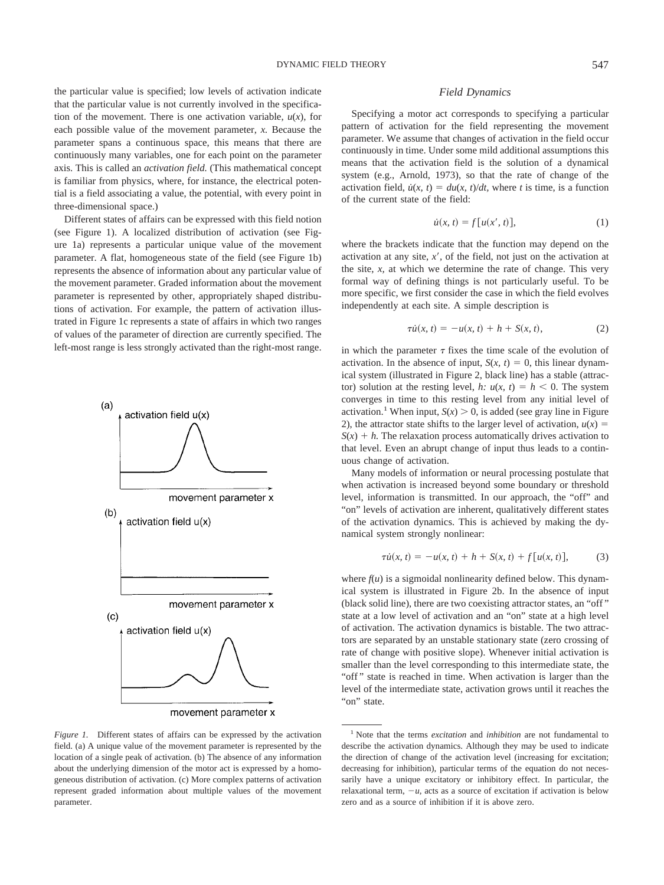the particular value is specified; low levels of activation indicate that the particular value is not currently involved in the specification of the movement. There is one activation variable,  $u(x)$ , for each possible value of the movement parameter, *x.* Because the parameter spans a continuous space, this means that there are continuously many variables, one for each point on the parameter axis. This is called an *activation field.* (This mathematical concept is familiar from physics, where, for instance, the electrical potential is a field associating a value, the potential, with every point in three-dimensional space.)

Different states of affairs can be expressed with this field notion (see Figure 1). A localized distribution of activation (see Figure 1a) represents a particular unique value of the movement parameter. A flat, homogeneous state of the field (see Figure 1b) represents the absence of information about any particular value of the movement parameter. Graded information about the movement parameter is represented by other, appropriately shaped distributions of activation. For example, the pattern of activation illustrated in Figure 1c represents a state of affairs in which two ranges of values of the parameter of direction are currently specified. The left-most range is less strongly activated than the right-most range.



movement parameter x

*Figure 1.* Different states of affairs can be expressed by the activation field. (a) A unique value of the movement parameter is represented by the location of a single peak of activation. (b) The absence of any information about the underlying dimension of the motor act is expressed by a homogeneous distribution of activation. (c) More complex patterns of activation represent graded information about multiple values of the movement parameter.

## *Field Dynamics*

Specifying a motor act corresponds to specifying a particular pattern of activation for the field representing the movement parameter. We assume that changes of activation in the field occur continuously in time. Under some mild additional assumptions this means that the activation field is the solution of a dynamical system (e.g., Arnold, 1973), so that the rate of change of the activation field,  $\dot{u}(x, t) = du(x, t)/dt$ , where *t* is time, is a function of the current state of the field:

$$
\dot{u}(x, t) = f[u(x', t)],\tag{1}
$$

where the brackets indicate that the function may depend on the activation at any site, *x,* of the field, not just on the activation at the site, *x,* at which we determine the rate of change. This very formal way of defining things is not particularly useful. To be more specific, we first consider the case in which the field evolves independently at each site. A simple description is

$$
\tau \dot{u}(x, t) = -u(x, t) + h + S(x, t), \tag{2}
$$

in which the parameter  $\tau$  fixes the time scale of the evolution of activation. In the absence of input,  $S(x, t) = 0$ , this linear dynamical system (illustrated in Figure 2, black line) has a stable (attractor) solution at the resting level, *h:*  $u(x, t) = h < 0$ . The system converges in time to this resting level from any initial level of activation.<sup>1</sup> When input,  $S(x) > 0$ , is added (see gray line in Figure 2), the attractor state shifts to the larger level of activation,  $u(x) =$  $S(x) + h$ . The relaxation process automatically drives activation to that level. Even an abrupt change of input thus leads to a continuous change of activation.

Many models of information or neural processing postulate that when activation is increased beyond some boundary or threshold level, information is transmitted. In our approach, the "off" and "on" levels of activation are inherent, qualitatively different states of the activation dynamics. This is achieved by making the dynamical system strongly nonlinear:

$$
\tau u(x, t) = -u(x, t) + h + S(x, t) + f[u(x, t)], \tag{3}
$$

where  $f(u)$  is a sigmoidal nonlinearity defined below. This dynamical system is illustrated in Figure 2b. In the absence of input (black solid line), there are two coexisting attractor states, an "off " state at a low level of activation and an "on" state at a high level of activation. The activation dynamics is bistable. The two attractors are separated by an unstable stationary state (zero crossing of rate of change with positive slope). Whenever initial activation is smaller than the level corresponding to this intermediate state, the "off" state is reached in time. When activation is larger than the level of the intermediate state, activation grows until it reaches the "on" state.

<sup>1</sup> Note that the terms *excitation* and *inhibition* are not fundamental to describe the activation dynamics. Although they may be used to indicate the direction of change of the activation level (increasing for excitation; decreasing for inhibition), particular terms of the equation do not necessarily have a unique excitatory or inhibitory effect. In particular, the relaxational term,  $-u$ , acts as a source of excitation if activation is below zero and as a source of inhibition if it is above zero.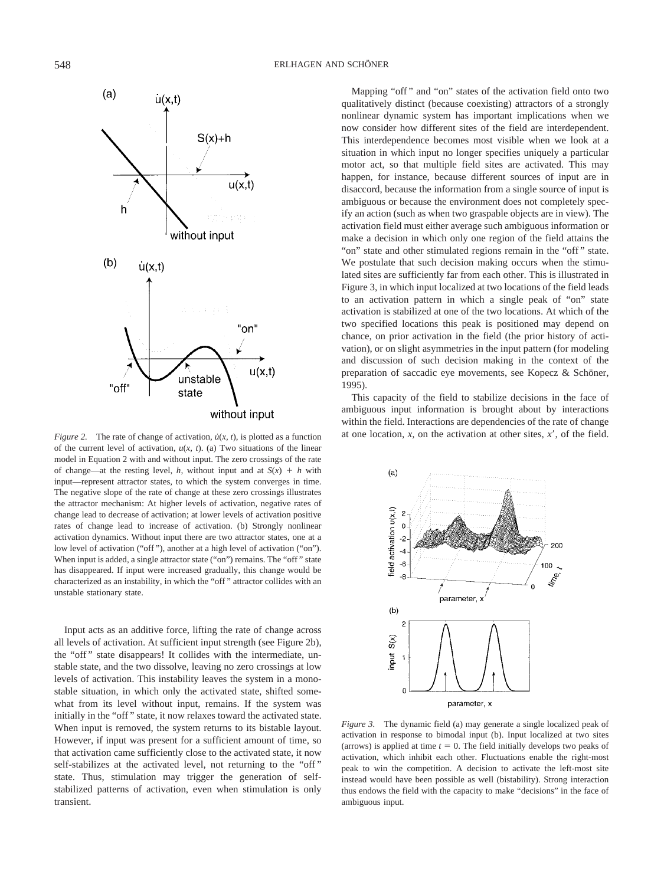

of the current level of activation, *u*(*x, t*). (a) Two situations of the linear model in Equation 2 with and without input. The zero crossings of the rate of change—at the resting level, *h*, without input and at  $S(x) + h$  with input—represent attractor states, to which the system converges in time. The negative slope of the rate of change at these zero crossings illustrates the attractor mechanism: At higher levels of activation, negative rates of change lead to decrease of activation; at lower levels of activation positive rates of change lead to increase of activation. (b) Strongly nonlinear activation dynamics. Without input there are two attractor states, one at a low level of activation ("off "), another at a high level of activation ("on"). When input is added, a single attractor state ("on") remains. The "off" state has disappeared. If input were increased gradually, this change would be characterized as an instability, in which the "off " attractor collides with an unstable stationary state.

Input acts as an additive force, lifting the rate of change across all levels of activation. At sufficient input strength (see Figure 2b), the "off " state disappears! It collides with the intermediate, unstable state, and the two dissolve, leaving no zero crossings at low levels of activation. This instability leaves the system in a monostable situation, in which only the activated state, shifted somewhat from its level without input, remains. If the system was initially in the "off " state, it now relaxes toward the activated state. When input is removed, the system returns to its bistable layout. However, if input was present for a sufficient amount of time, so that activation came sufficiently close to the activated state, it now self-stabilizes at the activated level, not returning to the "off " state. Thus, stimulation may trigger the generation of selfstabilized patterns of activation, even when stimulation is only transient.

Mapping "off" and "on" states of the activation field onto two qualitatively distinct (because coexisting) attractors of a strongly nonlinear dynamic system has important implications when we now consider how different sites of the field are interdependent. This interdependence becomes most visible when we look at a situation in which input no longer specifies uniquely a particular motor act, so that multiple field sites are activated. This may happen, for instance, because different sources of input are in disaccord, because the information from a single source of input is ambiguous or because the environment does not completely specify an action (such as when two graspable objects are in view). The activation field must either average such ambiguous information or make a decision in which only one region of the field attains the "on" state and other stimulated regions remain in the "off " state. We postulate that such decision making occurs when the stimulated sites are sufficiently far from each other. This is illustrated in Figure 3, in which input localized at two locations of the field leads to an activation pattern in which a single peak of "on" state activation is stabilized at one of the two locations. At which of the two specified locations this peak is positioned may depend on chance, on prior activation in the field (the prior history of activation), or on slight asymmetries in the input pattern (for modeling and discussion of such decision making in the context of the preparation of saccadic eye movements, see Kopecz & Schöner, 1995).

This capacity of the field to stabilize decisions in the face of ambiguous input information is brought about by interactions within the field. Interactions are dependencies of the rate of change *Figure 2.* The rate of change of activation,  $\dot{u}(x, t)$ , is plotted as a function at one location, *x*, on the activation at other sites, *x*<sup>*'*</sup>, of the field.



*Figure 3.* The dynamic field (a) may generate a single localized peak of activation in response to bimodal input (b). Input localized at two sites (arrows) is applied at time  $t = 0$ . The field initially develops two peaks of activation, which inhibit each other. Fluctuations enable the right-most peak to win the competition. A decision to activate the left-most site instead would have been possible as well (bistability). Strong interaction thus endows the field with the capacity to make "decisions" in the face of ambiguous input.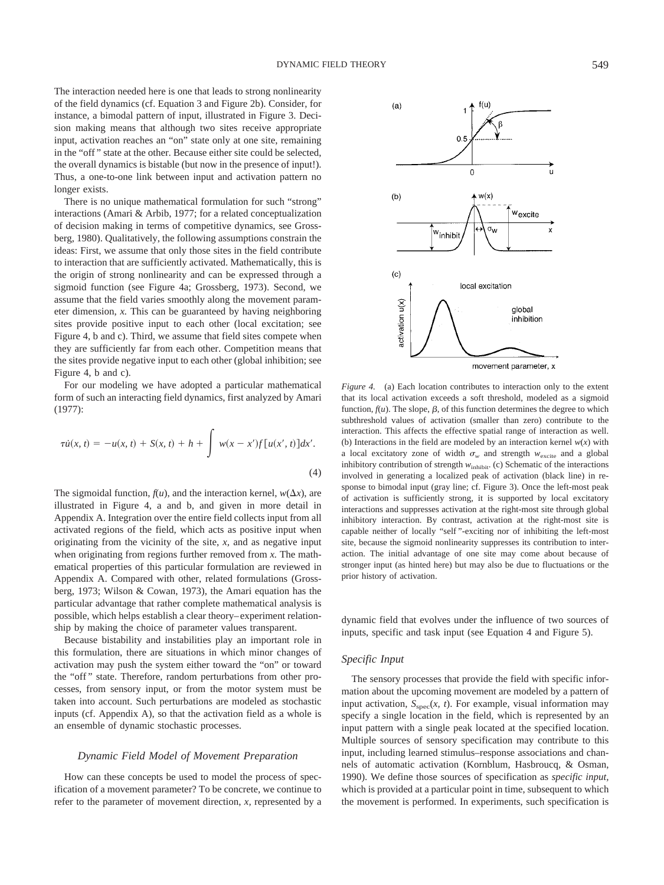The interaction needed here is one that leads to strong nonlinearity of the field dynamics (cf. Equation 3 and Figure 2b). Consider, for instance, a bimodal pattern of input, illustrated in Figure 3. Decision making means that although two sites receive appropriate input, activation reaches an "on" state only at one site, remaining in the "off " state at the other. Because either site could be selected, the overall dynamics is bistable (but now in the presence of input!). Thus, a one-to-one link between input and activation pattern no longer exists.

There is no unique mathematical formulation for such "strong" interactions (Amari & Arbib, 1977; for a related conceptualization of decision making in terms of competitive dynamics, see Grossberg, 1980). Qualitatively, the following assumptions constrain the ideas: First, we assume that only those sites in the field contribute to interaction that are sufficiently activated. Mathematically, this is the origin of strong nonlinearity and can be expressed through a sigmoid function (see Figure 4a; Grossberg, 1973). Second, we assume that the field varies smoothly along the movement parameter dimension, *x.* This can be guaranteed by having neighboring sites provide positive input to each other (local excitation; see Figure 4, b and c). Third, we assume that field sites compete when they are sufficiently far from each other. Competition means that the sites provide negative input to each other (global inhibition; see Figure 4, b and c).

For our modeling we have adopted a particular mathematical form of such an interacting field dynamics, first analyzed by Amari (1977):

$$
\tau \dot{u}(x, t) = -u(x, t) + S(x, t) + h + \int w(x - x') f[u(x', t)] dx'.
$$
\n(4)

The sigmoidal function,  $f(u)$ , and the interaction kernel,  $w(\Delta x)$ , are illustrated in Figure 4, a and b, and given in more detail in Appendix A. Integration over the entire field collects input from all activated regions of the field, which acts as positive input when originating from the vicinity of the site, *x,* and as negative input when originating from regions further removed from *x.* The mathematical properties of this particular formulation are reviewed in Appendix A. Compared with other, related formulations (Grossberg, 1973; Wilson & Cowan, 1973), the Amari equation has the particular advantage that rather complete mathematical analysis is possible, which helps establish a clear theory–experiment relationship by making the choice of parameter values transparent.

Because bistability and instabilities play an important role in this formulation, there are situations in which minor changes of activation may push the system either toward the "on" or toward the "off" state. Therefore, random perturbations from other processes, from sensory input, or from the motor system must be taken into account. Such perturbations are modeled as stochastic inputs (cf. Appendix A), so that the activation field as a whole is an ensemble of dynamic stochastic processes.

#### *Dynamic Field Model of Movement Preparation*

How can these concepts be used to model the process of specification of a movement parameter? To be concrete, we continue to refer to the parameter of movement direction, *x,* represented by a



*Figure 4.* (a) Each location contributes to interaction only to the extent that its local activation exceeds a soft threshold, modeled as a sigmoid function,  $f(u)$ . The slope,  $\beta$ , of this function determines the degree to which subthreshold values of activation (smaller than zero) contribute to the interaction. This affects the effective spatial range of interaction as well. (b) Interactions in the field are modeled by an interaction kernel  $w(x)$  with a local excitatory zone of width  $\sigma_w$  and strength  $w_{\text{excite}}$  and a global inhibitory contribution of strength  $w_{\text{inhibit}}$ . (c) Schematic of the interactions involved in generating a localized peak of activation (black line) in response to bimodal input (gray line; cf. Figure 3). Once the left-most peak of activation is sufficiently strong, it is supported by local excitatory interactions and suppresses activation at the right-most site through global inhibitory interaction. By contrast, activation at the right-most site is capable neither of locally "self "-exciting nor of inhibiting the left-most site, because the sigmoid nonlinearity suppresses its contribution to interaction. The initial advantage of one site may come about because of stronger input (as hinted here) but may also be due to fluctuations or the prior history of activation.

dynamic field that evolves under the influence of two sources of inputs, specific and task input (see Equation 4 and Figure 5).

## *Specific Input*

The sensory processes that provide the field with specific information about the upcoming movement are modeled by a pattern of input activation,  $S_{\text{spec}}(x, t)$ . For example, visual information may specify a single location in the field, which is represented by an input pattern with a single peak located at the specified location. Multiple sources of sensory specification may contribute to this input, including learned stimulus–response associations and channels of automatic activation (Kornblum, Hasbroucq, & Osman, 1990). We define those sources of specification as *specific input,* which is provided at a particular point in time, subsequent to which the movement is performed. In experiments, such specification is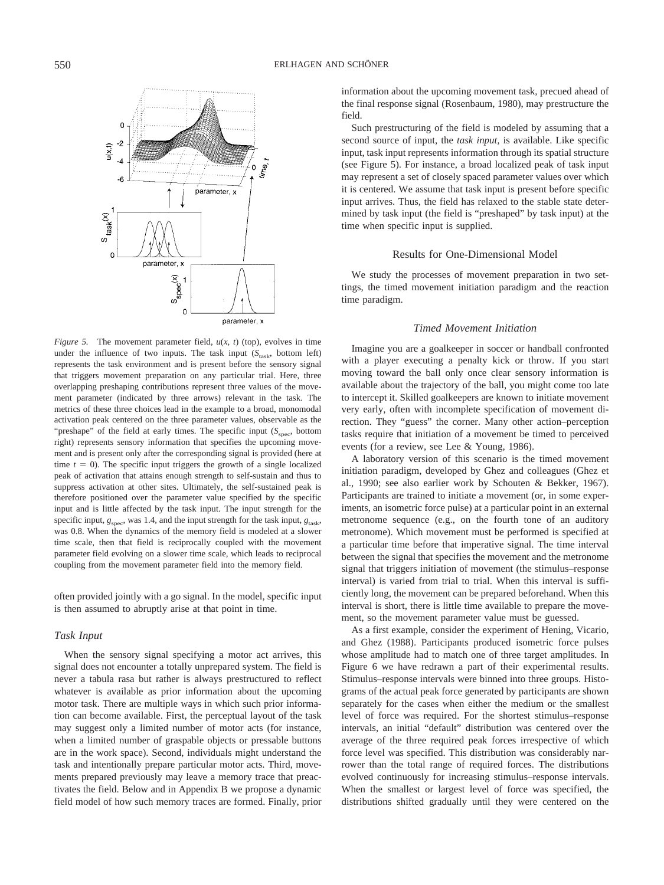

*Figure 5.* The movement parameter field, *u*(*x, t*) (top), evolves in time under the influence of two inputs. The task input  $(S<sub>task</sub>$ , bottom left) represents the task environment and is present before the sensory signal that triggers movement preparation on any particular trial. Here, three overlapping preshaping contributions represent three values of the movement parameter (indicated by three arrows) relevant in the task. The metrics of these three choices lead in the example to a broad, monomodal activation peak centered on the three parameter values, observable as the "preshape" of the field at early times. The specific input ( $S<sub>spec</sub>$ , bottom right) represents sensory information that specifies the upcoming movement and is present only after the corresponding signal is provided (here at time  $t = 0$ ). The specific input triggers the growth of a single localized peak of activation that attains enough strength to self-sustain and thus to suppress activation at other sites. Ultimately, the self-sustained peak is therefore positioned over the parameter value specified by the specific input and is little affected by the task input. The input strength for the specific input,  $g_{\text{spec}}$ , was 1.4, and the input strength for the task input,  $g_{\text{task}}$ , was 0.8. When the dynamics of the memory field is modeled at a slower time scale, then that field is reciprocally coupled with the movement parameter field evolving on a slower time scale, which leads to reciprocal coupling from the movement parameter field into the memory field.

often provided jointly with a go signal. In the model, specific input is then assumed to abruptly arise at that point in time.

# *Task Input*

When the sensory signal specifying a motor act arrives, this signal does not encounter a totally unprepared system. The field is never a tabula rasa but rather is always prestructured to reflect whatever is available as prior information about the upcoming motor task. There are multiple ways in which such prior information can become available. First, the perceptual layout of the task may suggest only a limited number of motor acts (for instance, when a limited number of graspable objects or pressable buttons are in the work space). Second, individuals might understand the task and intentionally prepare particular motor acts. Third, movements prepared previously may leave a memory trace that preactivates the field. Below and in Appendix B we propose a dynamic field model of how such memory traces are formed. Finally, prior information about the upcoming movement task, precued ahead of the final response signal (Rosenbaum, 1980), may prestructure the field.

Such prestructuring of the field is modeled by assuming that a second source of input, the *task input,* is available. Like specific input, task input represents information through its spatial structure (see Figure 5). For instance, a broad localized peak of task input may represent a set of closely spaced parameter values over which it is centered. We assume that task input is present before specific input arrives. Thus, the field has relaxed to the stable state determined by task input (the field is "preshaped" by task input) at the time when specific input is supplied.

## Results for One-Dimensional Model

We study the processes of movement preparation in two settings, the timed movement initiation paradigm and the reaction time paradigm.

# *Timed Movement Initiation*

Imagine you are a goalkeeper in soccer or handball confronted with a player executing a penalty kick or throw. If you start moving toward the ball only once clear sensory information is available about the trajectory of the ball, you might come too late to intercept it. Skilled goalkeepers are known to initiate movement very early, often with incomplete specification of movement direction. They "guess" the corner. Many other action–perception tasks require that initiation of a movement be timed to perceived events (for a review, see Lee & Young, 1986).

A laboratory version of this scenario is the timed movement initiation paradigm, developed by Ghez and colleagues (Ghez et al., 1990; see also earlier work by Schouten & Bekker, 1967). Participants are trained to initiate a movement (or, in some experiments, an isometric force pulse) at a particular point in an external metronome sequence (e.g., on the fourth tone of an auditory metronome). Which movement must be performed is specified at a particular time before that imperative signal. The time interval between the signal that specifies the movement and the metronome signal that triggers initiation of movement (the stimulus–response interval) is varied from trial to trial. When this interval is sufficiently long, the movement can be prepared beforehand. When this interval is short, there is little time available to prepare the movement, so the movement parameter value must be guessed.

As a first example, consider the experiment of Hening, Vicario, and Ghez (1988). Participants produced isometric force pulses whose amplitude had to match one of three target amplitudes. In Figure 6 we have redrawn a part of their experimental results. Stimulus–response intervals were binned into three groups. Histograms of the actual peak force generated by participants are shown separately for the cases when either the medium or the smallest level of force was required. For the shortest stimulus–response intervals, an initial "default" distribution was centered over the average of the three required peak forces irrespective of which force level was specified. This distribution was considerably narrower than the total range of required forces. The distributions evolved continuously for increasing stimulus–response intervals. When the smallest or largest level of force was specified, the distributions shifted gradually until they were centered on the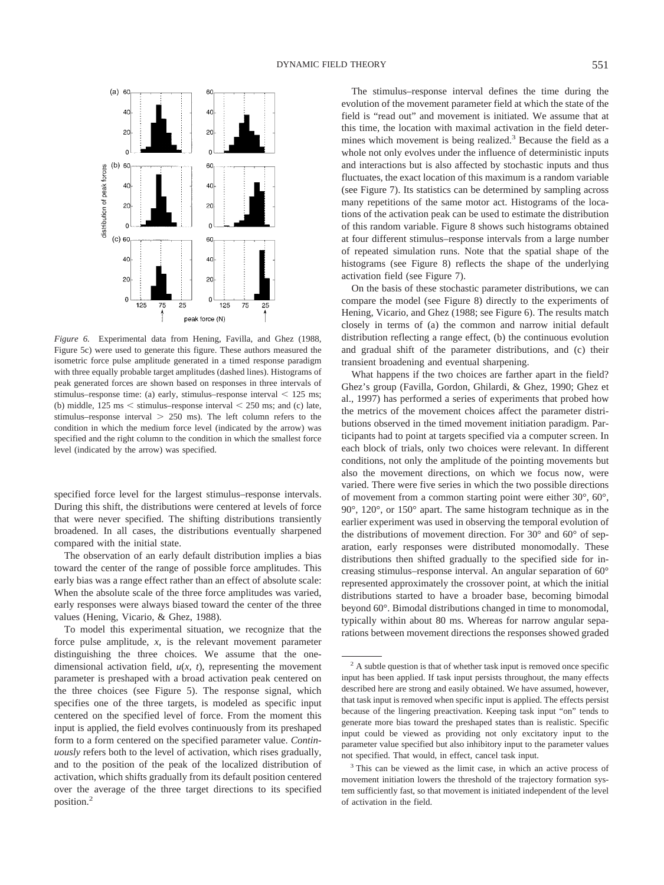

*Figure 6.* Experimental data from Hening, Favilla, and Ghez (1988, Figure 5c) were used to generate this figure. These authors measured the isometric force pulse amplitude generated in a timed response paradigm with three equally probable target amplitudes (dashed lines). Histograms of peak generated forces are shown based on responses in three intervals of stimulus–response time: (a) early, stimulus–response interval  $\leq 125$  ms; (b) middle,  $125 \text{ ms} < \text{stimulus–response interval} < 250 \text{ ms}$ ; and (c) late, stimulus–response interval  $> 250$  ms). The left column refers to the condition in which the medium force level (indicated by the arrow) was specified and the right column to the condition in which the smallest force level (indicated by the arrow) was specified.

specified force level for the largest stimulus–response intervals. During this shift, the distributions were centered at levels of force that were never specified. The shifting distributions transiently broadened. In all cases, the distributions eventually sharpened compared with the initial state.

The observation of an early default distribution implies a bias toward the center of the range of possible force amplitudes. This early bias was a range effect rather than an effect of absolute scale: When the absolute scale of the three force amplitudes was varied, early responses were always biased toward the center of the three values (Hening, Vicario, & Ghez, 1988).

To model this experimental situation, we recognize that the force pulse amplitude, *x,* is the relevant movement parameter distinguishing the three choices. We assume that the onedimensional activation field, *u*(*x, t*), representing the movement parameter is preshaped with a broad activation peak centered on the three choices (see Figure 5). The response signal, which specifies one of the three targets, is modeled as specific input centered on the specified level of force. From the moment this input is applied, the field evolves continuously from its preshaped form to a form centered on the specified parameter value. *Continuously* refers both to the level of activation, which rises gradually, and to the position of the peak of the localized distribution of activation, which shifts gradually from its default position centered over the average of the three target directions to its specified position.2

The stimulus–response interval defines the time during the evolution of the movement parameter field at which the state of the field is "read out" and movement is initiated. We assume that at this time, the location with maximal activation in the field determines which movement is being realized.<sup>3</sup> Because the field as a whole not only evolves under the influence of deterministic inputs and interactions but is also affected by stochastic inputs and thus fluctuates, the exact location of this maximum is a random variable (see Figure 7). Its statistics can be determined by sampling across many repetitions of the same motor act. Histograms of the locations of the activation peak can be used to estimate the distribution of this random variable. Figure 8 shows such histograms obtained at four different stimulus–response intervals from a large number of repeated simulation runs. Note that the spatial shape of the histograms (see Figure 8) reflects the shape of the underlying activation field (see Figure 7).

On the basis of these stochastic parameter distributions, we can compare the model (see Figure 8) directly to the experiments of Hening, Vicario, and Ghez (1988; see Figure 6). The results match closely in terms of (a) the common and narrow initial default distribution reflecting a range effect, (b) the continuous evolution and gradual shift of the parameter distributions, and (c) their transient broadening and eventual sharpening.

What happens if the two choices are farther apart in the field? Ghez's group (Favilla, Gordon, Ghilardi, & Ghez, 1990; Ghez et al., 1997) has performed a series of experiments that probed how the metrics of the movement choices affect the parameter distributions observed in the timed movement initiation paradigm. Participants had to point at targets specified via a computer screen. In each block of trials, only two choices were relevant. In different conditions, not only the amplitude of the pointing movements but also the movement directions, on which we focus now, were varied. There were five series in which the two possible directions of movement from a common starting point were either 30°, 60°, 90°, 120°, or 150° apart. The same histogram technique as in the earlier experiment was used in observing the temporal evolution of the distributions of movement direction. For 30° and 60° of separation, early responses were distributed monomodally. These distributions then shifted gradually to the specified side for increasing stimulus–response interval. An angular separation of 60° represented approximately the crossover point, at which the initial distributions started to have a broader base, becoming bimodal beyond 60°. Bimodal distributions changed in time to monomodal, typically within about 80 ms. Whereas for narrow angular separations between movement directions the responses showed graded

 $2 A$  subtle question is that of whether task input is removed once specific input has been applied. If task input persists throughout, the many effects described here are strong and easily obtained. We have assumed, however, that task input is removed when specific input is applied. The effects persist because of the lingering preactivation. Keeping task input "on" tends to generate more bias toward the preshaped states than is realistic. Specific input could be viewed as providing not only excitatory input to the parameter value specified but also inhibitory input to the parameter values not specified. That would, in effect, cancel task input.

<sup>&</sup>lt;sup>3</sup> This can be viewed as the limit case, in which an active process of movement initiation lowers the threshold of the trajectory formation system sufficiently fast, so that movement is initiated independent of the level of activation in the field.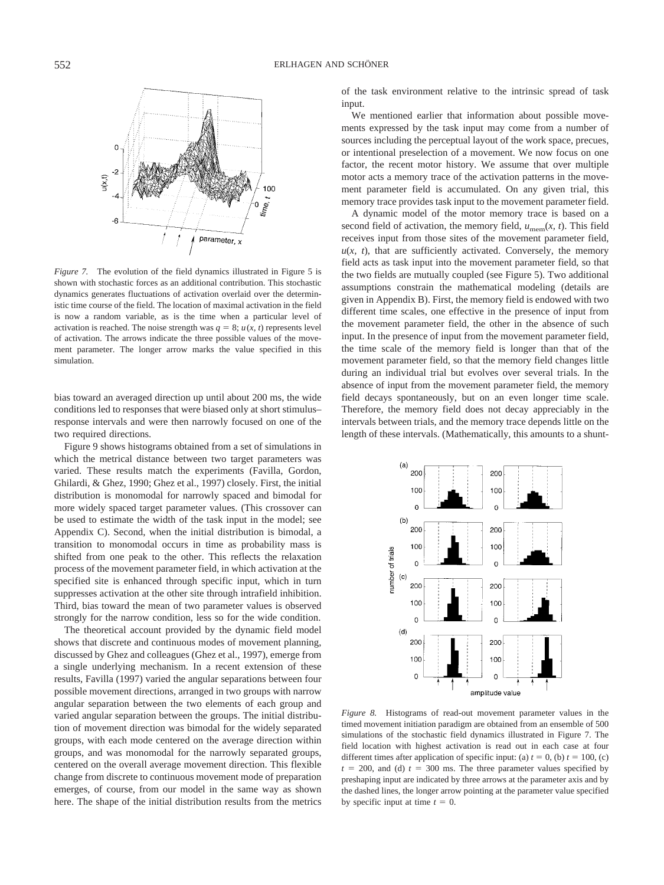

*Figure 7.* The evolution of the field dynamics illustrated in Figure 5 is shown with stochastic forces as an additional contribution. This stochastic dynamics generates fluctuations of activation overlaid over the deterministic time course of the field. The location of maximal activation in the field is now a random variable, as is the time when a particular level of activation is reached. The noise strength was  $q = 8$ ;  $u(x, t)$  represents level of activation. The arrows indicate the three possible values of the movement parameter. The longer arrow marks the value specified in this simulation.

bias toward an averaged direction up until about 200 ms, the wide conditions led to responses that were biased only at short stimulus– response intervals and were then narrowly focused on one of the two required directions.

Figure 9 shows histograms obtained from a set of simulations in which the metrical distance between two target parameters was varied. These results match the experiments (Favilla, Gordon, Ghilardi, & Ghez, 1990; Ghez et al., 1997) closely. First, the initial distribution is monomodal for narrowly spaced and bimodal for more widely spaced target parameter values. (This crossover can be used to estimate the width of the task input in the model; see Appendix C). Second, when the initial distribution is bimodal, a transition to monomodal occurs in time as probability mass is shifted from one peak to the other. This reflects the relaxation process of the movement parameter field, in which activation at the specified site is enhanced through specific input, which in turn suppresses activation at the other site through intrafield inhibition. Third, bias toward the mean of two parameter values is observed strongly for the narrow condition, less so for the wide condition.

The theoretical account provided by the dynamic field model shows that discrete and continuous modes of movement planning, discussed by Ghez and colleagues (Ghez et al., 1997), emerge from a single underlying mechanism. In a recent extension of these results, Favilla (1997) varied the angular separations between four possible movement directions, arranged in two groups with narrow angular separation between the two elements of each group and varied angular separation between the groups. The initial distribution of movement direction was bimodal for the widely separated groups, with each mode centered on the average direction within groups, and was monomodal for the narrowly separated groups, centered on the overall average movement direction. This flexible change from discrete to continuous movement mode of preparation emerges, of course, from our model in the same way as shown here. The shape of the initial distribution results from the metrics

of the task environment relative to the intrinsic spread of task input.

We mentioned earlier that information about possible movements expressed by the task input may come from a number of sources including the perceptual layout of the work space, precues, or intentional preselection of a movement. We now focus on one factor, the recent motor history. We assume that over multiple motor acts a memory trace of the activation patterns in the movement parameter field is accumulated. On any given trial, this memory trace provides task input to the movement parameter field.

A dynamic model of the motor memory trace is based on a second field of activation, the memory field,  $u_{\text{mem}}(x, t)$ . This field receives input from those sites of the movement parameter field,  $u(x, t)$ , that are sufficiently activated. Conversely, the memory field acts as task input into the movement parameter field, so that the two fields are mutually coupled (see Figure 5). Two additional assumptions constrain the mathematical modeling (details are given in Appendix B). First, the memory field is endowed with two different time scales, one effective in the presence of input from the movement parameter field, the other in the absence of such input. In the presence of input from the movement parameter field, the time scale of the memory field is longer than that of the movement parameter field, so that the memory field changes little during an individual trial but evolves over several trials. In the absence of input from the movement parameter field, the memory field decays spontaneously, but on an even longer time scale. Therefore, the memory field does not decay appreciably in the intervals between trials, and the memory trace depends little on the length of these intervals. (Mathematically, this amounts to a shunt-



*Figure 8.* Histograms of read-out movement parameter values in the timed movement initiation paradigm are obtained from an ensemble of 500 simulations of the stochastic field dynamics illustrated in Figure 7. The field location with highest activation is read out in each case at four different times after application of specific input: (a)  $t = 0$ , (b)  $t = 100$ , (c)  $t = 200$ , and (d)  $t = 300$  ms. The three parameter values specified by preshaping input are indicated by three arrows at the parameter axis and by the dashed lines, the longer arrow pointing at the parameter value specified by specific input at time  $t = 0$ .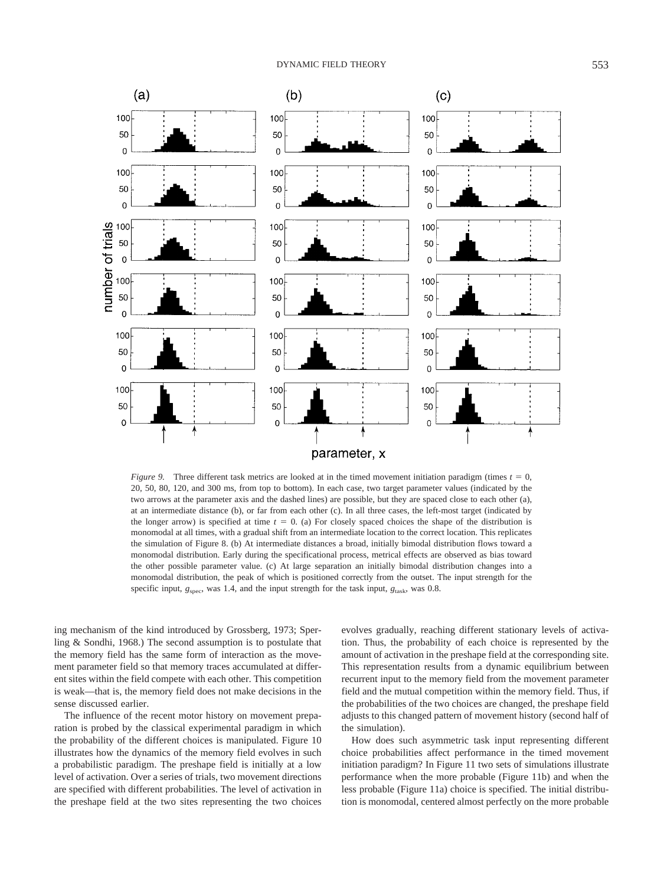

*Figure 9.* Three different task metrics are looked at in the timed movement initiation paradigm (times  $t = 0$ , 20, 50, 80, 120, and 300 ms, from top to bottom). In each case, two target parameter values (indicated by the two arrows at the parameter axis and the dashed lines) are possible, but they are spaced close to each other (a), at an intermediate distance (b), or far from each other (c). In all three cases, the left-most target (indicated by the longer arrow) is specified at time  $t = 0$ . (a) For closely spaced choices the shape of the distribution is monomodal at all times, with a gradual shift from an intermediate location to the correct location. This replicates the simulation of Figure 8. (b) At intermediate distances a broad, initially bimodal distribution flows toward a monomodal distribution. Early during the specificational process, metrical effects are observed as bias toward the other possible parameter value. (c) At large separation an initially bimodal distribution changes into a monomodal distribution, the peak of which is positioned correctly from the outset. The input strength for the specific input,  $g_{\text{spec}}$ , was 1.4, and the input strength for the task input,  $g_{\text{task}}$ , was 0.8.

ing mechanism of the kind introduced by Grossberg, 1973; Sperling & Sondhi, 1968.) The second assumption is to postulate that the memory field has the same form of interaction as the movement parameter field so that memory traces accumulated at different sites within the field compete with each other. This competition is weak—that is, the memory field does not make decisions in the sense discussed earlier.

The influence of the recent motor history on movement preparation is probed by the classical experimental paradigm in which the probability of the different choices is manipulated. Figure 10 illustrates how the dynamics of the memory field evolves in such a probabilistic paradigm. The preshape field is initially at a low level of activation. Over a series of trials, two movement directions are specified with different probabilities. The level of activation in the preshape field at the two sites representing the two choices evolves gradually, reaching different stationary levels of activation. Thus, the probability of each choice is represented by the amount of activation in the preshape field at the corresponding site. This representation results from a dynamic equilibrium between recurrent input to the memory field from the movement parameter field and the mutual competition within the memory field. Thus, if the probabilities of the two choices are changed, the preshape field adjusts to this changed pattern of movement history (second half of the simulation).

How does such asymmetric task input representing different choice probabilities affect performance in the timed movement initiation paradigm? In Figure 11 two sets of simulations illustrate performance when the more probable (Figure 11b) and when the less probable (Figure 11a) choice is specified. The initial distribution is monomodal, centered almost perfectly on the more probable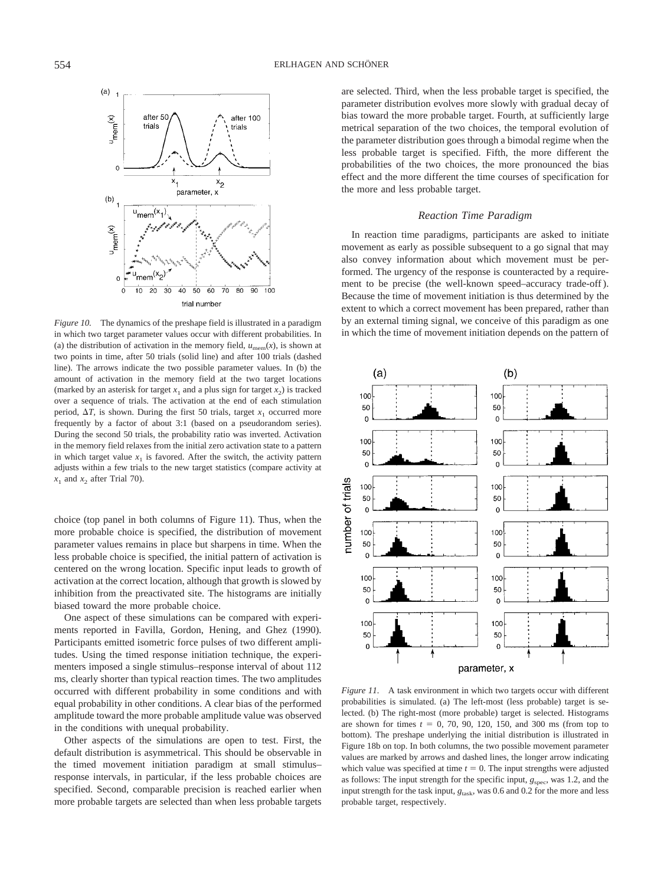

*Figure 10.* The dynamics of the preshape field is illustrated in a paradigm in which two target parameter values occur with different probabilities. In (a) the distribution of activation in the memory field,  $u_{\text{mem}}(x)$ , is shown at two points in time, after 50 trials (solid line) and after 100 trials (dashed line). The arrows indicate the two possible parameter values. In (b) the amount of activation in the memory field at the two target locations (marked by an asterisk for target  $x_1$  and a plus sign for target  $x_2$ ) is tracked over a sequence of trials. The activation at the end of each stimulation period,  $\Delta T$ , is shown. During the first 50 trials, target  $x_1$  occurred more frequently by a factor of about 3:1 (based on a pseudorandom series). During the second 50 trials, the probability ratio was inverted. Activation in the memory field relaxes from the initial zero activation state to a pattern in which target value  $x_1$  is favored. After the switch, the activity pattern adjusts within a few trials to the new target statistics (compare activity at  $x_1$  and  $x_2$  after Trial 70).

choice (top panel in both columns of Figure 11). Thus, when the more probable choice is specified, the distribution of movement parameter values remains in place but sharpens in time. When the less probable choice is specified, the initial pattern of activation is centered on the wrong location. Specific input leads to growth of activation at the correct location, although that growth is slowed by inhibition from the preactivated site. The histograms are initially biased toward the more probable choice.

One aspect of these simulations can be compared with experiments reported in Favilla, Gordon, Hening, and Ghez (1990). Participants emitted isometric force pulses of two different amplitudes. Using the timed response initiation technique, the experimenters imposed a single stimulus–response interval of about 112 ms, clearly shorter than typical reaction times. The two amplitudes occurred with different probability in some conditions and with equal probability in other conditions. A clear bias of the performed amplitude toward the more probable amplitude value was observed in the conditions with unequal probability.

Other aspects of the simulations are open to test. First, the default distribution is asymmetrical. This should be observable in the timed movement initiation paradigm at small stimulus– response intervals, in particular, if the less probable choices are specified. Second, comparable precision is reached earlier when more probable targets are selected than when less probable targets are selected. Third, when the less probable target is specified, the parameter distribution evolves more slowly with gradual decay of bias toward the more probable target. Fourth, at sufficiently large metrical separation of the two choices, the temporal evolution of the parameter distribution goes through a bimodal regime when the less probable target is specified. Fifth, the more different the probabilities of the two choices, the more pronounced the bias effect and the more different the time courses of specification for the more and less probable target.

# *Reaction Time Paradigm*

In reaction time paradigms, participants are asked to initiate movement as early as possible subsequent to a go signal that may also convey information about which movement must be performed. The urgency of the response is counteracted by a requirement to be precise (the well-known speed–accuracy trade-off ). Because the time of movement initiation is thus determined by the extent to which a correct movement has been prepared, rather than by an external timing signal, we conceive of this paradigm as one in which the time of movement initiation depends on the pattern of



*Figure 11.* A task environment in which two targets occur with different probabilities is simulated. (a) The left-most (less probable) target is selected. (b) The right-most (more probable) target is selected. Histograms are shown for times  $t = 0, 70, 90, 120, 150,$  and 300 ms (from top to bottom). The preshape underlying the initial distribution is illustrated in Figure 18b on top. In both columns, the two possible movement parameter values are marked by arrows and dashed lines, the longer arrow indicating which value was specified at time  $t = 0$ . The input strengths were adjusted as follows: The input strength for the specific input,  $g_{\rm spec}$ , was 1.2, and the input strength for the task input,  $g<sub>task</sub>$ , was 0.6 and 0.2 for the more and less probable target, respectively.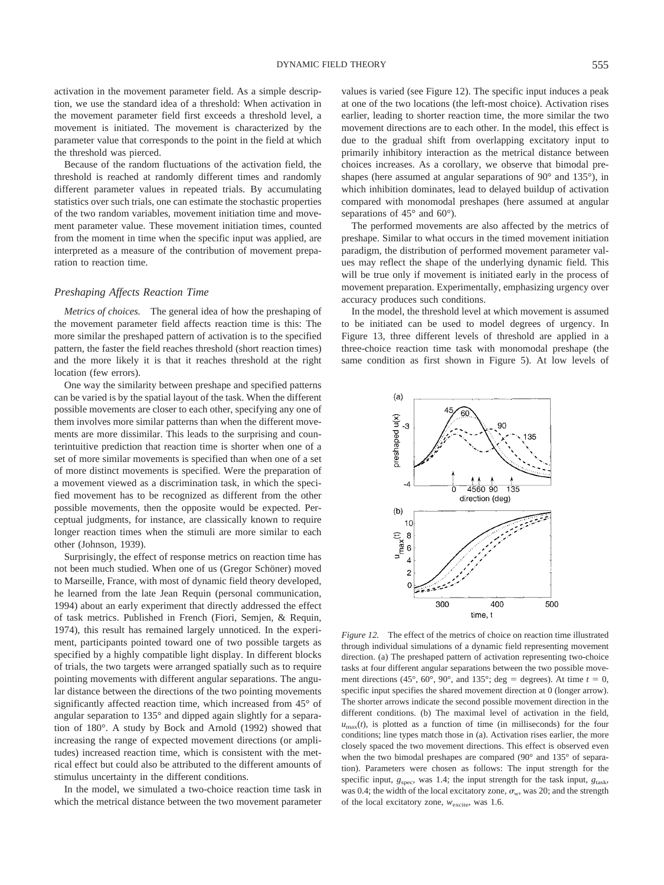activation in the movement parameter field. As a simple description, we use the standard idea of a threshold: When activation in the movement parameter field first exceeds a threshold level, a movement is initiated. The movement is characterized by the parameter value that corresponds to the point in the field at which the threshold was pierced.

Because of the random fluctuations of the activation field, the threshold is reached at randomly different times and randomly different parameter values in repeated trials. By accumulating statistics over such trials, one can estimate the stochastic properties of the two random variables, movement initiation time and movement parameter value. These movement initiation times, counted from the moment in time when the specific input was applied, are interpreted as a measure of the contribution of movement preparation to reaction time.

# *Preshaping Affects Reaction Time*

*Metrics of choices.* The general idea of how the preshaping of the movement parameter field affects reaction time is this: The more similar the preshaped pattern of activation is to the specified pattern, the faster the field reaches threshold (short reaction times) and the more likely it is that it reaches threshold at the right location (few errors).

One way the similarity between preshape and specified patterns can be varied is by the spatial layout of the task. When the different possible movements are closer to each other, specifying any one of them involves more similar patterns than when the different movements are more dissimilar. This leads to the surprising and counterintuitive prediction that reaction time is shorter when one of a set of more similar movements is specified than when one of a set of more distinct movements is specified. Were the preparation of a movement viewed as a discrimination task, in which the specified movement has to be recognized as different from the other possible movements, then the opposite would be expected. Perceptual judgments, for instance, are classically known to require longer reaction times when the stimuli are more similar to each other (Johnson, 1939).

Surprisingly, the effect of response metrics on reaction time has not been much studied. When one of us (Gregor Schöner) moved to Marseille, France, with most of dynamic field theory developed, he learned from the late Jean Requin (personal communication, 1994) about an early experiment that directly addressed the effect of task metrics. Published in French (Fiori, Semjen, & Requin, 1974), this result has remained largely unnoticed. In the experiment, participants pointed toward one of two possible targets as specified by a highly compatible light display. In different blocks of trials, the two targets were arranged spatially such as to require pointing movements with different angular separations. The angular distance between the directions of the two pointing movements significantly affected reaction time, which increased from 45° of angular separation to 135° and dipped again slightly for a separation of 180°. A study by Bock and Arnold (1992) showed that increasing the range of expected movement directions (or amplitudes) increased reaction time, which is consistent with the metrical effect but could also be attributed to the different amounts of stimulus uncertainty in the different conditions.

In the model, we simulated a two-choice reaction time task in which the metrical distance between the two movement parameter values is varied (see Figure 12). The specific input induces a peak at one of the two locations (the left-most choice). Activation rises earlier, leading to shorter reaction time, the more similar the two movement directions are to each other. In the model, this effect is due to the gradual shift from overlapping excitatory input to primarily inhibitory interaction as the metrical distance between choices increases. As a corollary, we observe that bimodal preshapes (here assumed at angular separations of 90° and 135°), in which inhibition dominates, lead to delayed buildup of activation compared with monomodal preshapes (here assumed at angular separations of 45° and 60°).

The performed movements are also affected by the metrics of preshape. Similar to what occurs in the timed movement initiation paradigm, the distribution of performed movement parameter values may reflect the shape of the underlying dynamic field. This will be true only if movement is initiated early in the process of movement preparation. Experimentally, emphasizing urgency over accuracy produces such conditions.

In the model, the threshold level at which movement is assumed to be initiated can be used to model degrees of urgency. In Figure 13, three different levels of threshold are applied in a three-choice reaction time task with monomodal preshape (the same condition as first shown in Figure 5). At low levels of



*Figure 12.* The effect of the metrics of choice on reaction time illustrated through individual simulations of a dynamic field representing movement direction. (a) The preshaped pattern of activation representing two-choice tasks at four different angular separations between the two possible movement directions (45°, 60°, 90°, and 135°; deg = degrees). At time  $t = 0$ , specific input specifies the shared movement direction at 0 (longer arrow). The shorter arrows indicate the second possible movement direction in the different conditions. (b) The maximal level of activation in the field,  $u_{\text{max}}(t)$ , is plotted as a function of time (in milliseconds) for the four conditions; line types match those in (a). Activation rises earlier, the more closely spaced the two movement directions. This effect is observed even when the two bimodal preshapes are compared (90° and 135° of separation). Parameters were chosen as follows: The input strength for the specific input,  $g_{\text{spec}}$ , was 1.4; the input strength for the task input,  $g_{\text{task}}$ , was 0.4; the width of the local excitatory zone,  $\sigma_w$ , was 20; and the strength of the local excitatory zone,  $w_{\text{excite}}$ , was 1.6.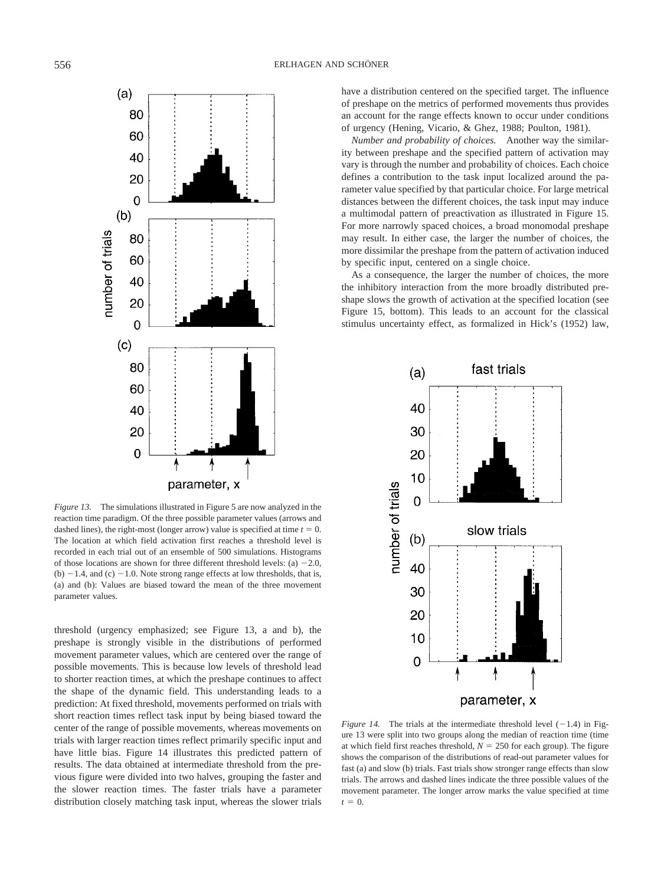

*Figure 13.* The simulations illustrated in Figure 5 are now analyzed in the reaction time paradigm. Of the three possible parameter values (arrows and dashed lines), the right-most (longer arrow) value is specified at time  $t = 0$ . The location at which field activation first reaches a threshold level is recorded in each trial out of an ensemble of 500 simulations. Histograms of those locations are shown for three different threshold levels: (a)  $-2.0$ , (b)  $-1.4$ , and (c)  $-1.0$ . Note strong range effects at low thresholds, that is, (a) and (b): Values are biased toward the mean of the three movement parameter values.

threshold (urgency emphasized; see Figure 13, a and b), the preshape is strongly visible in the distributions of performed movement parameter values, which are centered over the range of possible movements. This is because low levels of threshold lead to shorter reaction times, at which the preshape continues to affect the shape of the dynamic field. This understanding leads to a prediction: At fixed threshold, movements performed on trials with short reaction times reflect task input by being biased toward the center of the range of possible movements, whereas movements on trials with larger reaction times reflect primarily specific input and have little bias. Figure 14 illustrates this predicted pattern of results. The data obtained at intermediate threshold from the previous figure were divided into two halves, grouping the faster and the slower reaction times. The faster trials have a parameter distribution closely matching task input, whereas the slower trials have a distribution centered on the specified target. The influence of preshape on the metrics of performed movements thus provides an account for the range effects known to occur under conditions of urgency (Hening, Vicario, & Ghez, 1988; Poulton, 1981).

*Number and probability of choices.* Another way the similarity between preshape and the specified pattern of activation may vary is through the number and probability of choices. Each choice defines a contribution to the task input localized around the parameter value specified by that particular choice. For large metrical distances between the different choices, the task input may induce a multimodal pattern of preactivation as illustrated in Figure 15. For more narrowly spaced choices, a broad monomodal preshape may result. In either case, the larger the number of choices, the more dissimilar the preshape from the pattern of activation induced by specific input, centered on a single choice.

As a consequence, the larger the number of choices, the more the inhibitory interaction from the more broadly distributed preshape slows the growth of activation at the specified location (see Figure 15, bottom). This leads to an account for the classical stimulus uncertainty effect, as formalized in Hick's (1952) law,



*Figure 14.* The trials at the intermediate threshold level  $(-1.4)$  in Figure 13 were split into two groups along the median of reaction time (time at which field first reaches threshold,  $N = 250$  for each group). The figure shows the comparison of the distributions of read-out parameter values for fast (a) and slow (b) trials. Fast trials show stronger range effects than slow trials. The arrows and dashed lines indicate the three possible values of the movement parameter. The longer arrow marks the value specified at time  $t = 0.$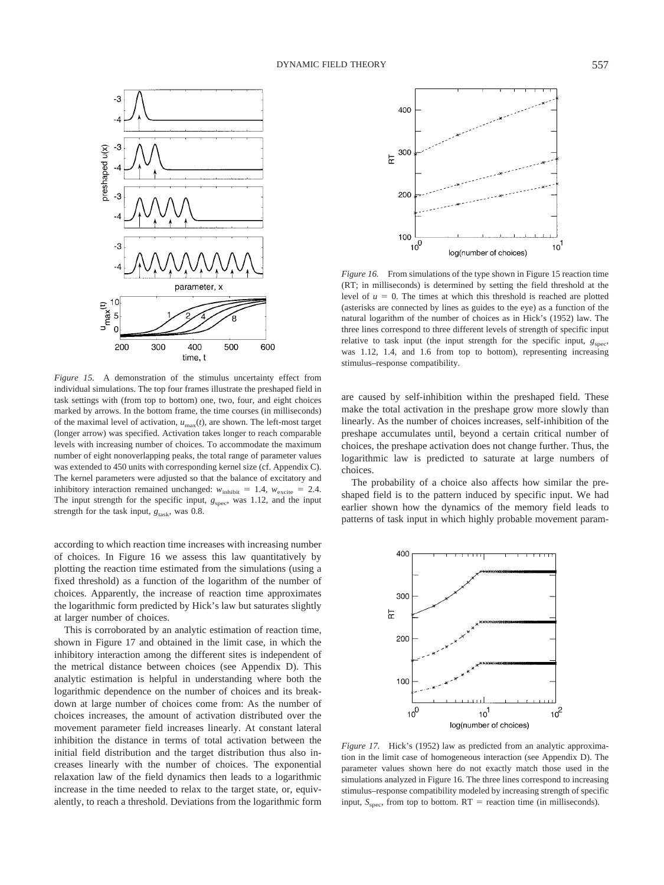

*Figure 15.* A demonstration of the stimulus uncertainty effect from individual simulations. The top four frames illustrate the preshaped field in task settings with (from top to bottom) one, two, four, and eight choices marked by arrows. In the bottom frame, the time courses (in milliseconds) of the maximal level of activation, *u*max(*t*), are shown. The left-most target (longer arrow) was specified. Activation takes longer to reach comparable levels with increasing number of choices. To accommodate the maximum number of eight nonoverlapping peaks, the total range of parameter values was extended to 450 units with corresponding kernel size (cf. Appendix C). The kernel parameters were adjusted so that the balance of excitatory and inhibitory interaction remained unchanged:  $w_{\text{inhibit}} = 1.4$ ,  $w_{\text{excite}} = 2.4$ . The input strength for the specific input,  $g_{\text{spec}}$ , was 1.12, and the input strength for the task input,  $g<sub>task</sub>$ , was 0.8.

according to which reaction time increases with increasing number of choices. In Figure 16 we assess this law quantitatively by plotting the reaction time estimated from the simulations (using a fixed threshold) as a function of the logarithm of the number of choices. Apparently, the increase of reaction time approximates the logarithmic form predicted by Hick's law but saturates slightly at larger number of choices.

This is corroborated by an analytic estimation of reaction time, shown in Figure 17 and obtained in the limit case, in which the inhibitory interaction among the different sites is independent of the metrical distance between choices (see Appendix D). This analytic estimation is helpful in understanding where both the logarithmic dependence on the number of choices and its breakdown at large number of choices come from: As the number of choices increases, the amount of activation distributed over the movement parameter field increases linearly. At constant lateral inhibition the distance in terms of total activation between the initial field distribution and the target distribution thus also increases linearly with the number of choices. The exponential relaxation law of the field dynamics then leads to a logarithmic increase in the time needed to relax to the target state, or, equivalently, to reach a threshold. Deviations from the logarithmic form



*Figure 16.* From simulations of the type shown in Figure 15 reaction time (RT; in milliseconds) is determined by setting the field threshold at the level of  $u = 0$ . The times at which this threshold is reached are plotted (asterisks are connected by lines as guides to the eye) as a function of the natural logarithm of the number of choices as in Hick's (1952) law. The three lines correspond to three different levels of strength of specific input relative to task input (the input strength for the specific input,  $g_{\text{spec}}$ , was 1.12, 1.4, and 1.6 from top to bottom), representing increasing stimulus–response compatibility.

are caused by self-inhibition within the preshaped field. These make the total activation in the preshape grow more slowly than linearly. As the number of choices increases, self-inhibition of the preshape accumulates until, beyond a certain critical number of choices, the preshape activation does not change further. Thus, the logarithmic law is predicted to saturate at large numbers of choices.

The probability of a choice also affects how similar the preshaped field is to the pattern induced by specific input. We had earlier shown how the dynamics of the memory field leads to patterns of task input in which highly probable movement param-



*Figure 17.* Hick's (1952) law as predicted from an analytic approximation in the limit case of homogeneous interaction (see Appendix D). The parameter values shown here do not exactly match those used in the simulations analyzed in Figure 16. The three lines correspond to increasing stimulus–response compatibility modeled by increasing strength of specific input,  $S_{\text{spec}}$ , from top to bottom.  $RT =$  reaction time (in milliseconds).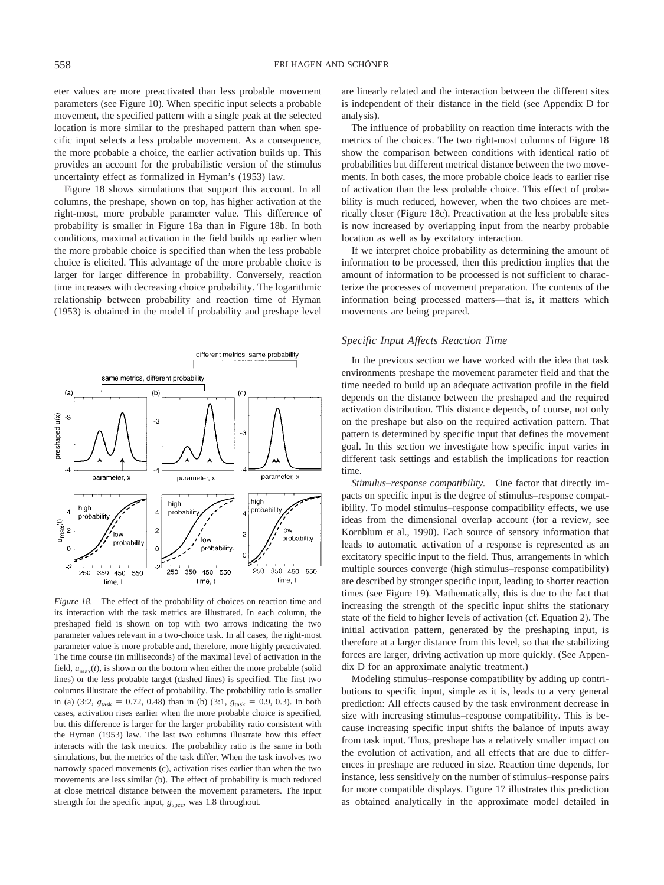eter values are more preactivated than less probable movement parameters (see Figure 10). When specific input selects a probable movement, the specified pattern with a single peak at the selected location is more similar to the preshaped pattern than when specific input selects a less probable movement. As a consequence, the more probable a choice, the earlier activation builds up. This provides an account for the probabilistic version of the stimulus uncertainty effect as formalized in Hyman's (1953) law.

Figure 18 shows simulations that support this account. In all columns, the preshape, shown on top, has higher activation at the right-most, more probable parameter value. This difference of probability is smaller in Figure 18a than in Figure 18b. In both conditions, maximal activation in the field builds up earlier when the more probable choice is specified than when the less probable choice is elicited. This advantage of the more probable choice is larger for larger difference in probability. Conversely, reaction time increases with decreasing choice probability. The logarithmic relationship between probability and reaction time of Hyman (1953) is obtained in the model if probability and preshape level



*Figure 18.* The effect of the probability of choices on reaction time and its interaction with the task metrics are illustrated. In each column, the preshaped field is shown on top with two arrows indicating the two parameter values relevant in a two-choice task. In all cases, the right-most parameter value is more probable and, therefore, more highly preactivated. The time course (in milliseconds) of the maximal level of activation in the field,  $u_{\text{max}}(t)$ , is shown on the bottom when either the more probable (solid lines) or the less probable target (dashed lines) is specified. The first two columns illustrate the effect of probability. The probability ratio is smaller in (a) (3:2,  $g_{\text{task}} = 0.72, 0.48$ ) than in (b) (3:1,  $g_{\text{task}} = 0.9, 0.3$ ). In both cases, activation rises earlier when the more probable choice is specified, but this difference is larger for the larger probability ratio consistent with the Hyman (1953) law. The last two columns illustrate how this effect interacts with the task metrics. The probability ratio is the same in both simulations, but the metrics of the task differ. When the task involves two narrowly spaced movements (c), activation rises earlier than when the two movements are less similar (b). The effect of probability is much reduced at close metrical distance between the movement parameters. The input strength for the specific input,  $g_{\text{spec}}$ , was 1.8 throughout.

are linearly related and the interaction between the different sites is independent of their distance in the field (see Appendix D for analysis).

The influence of probability on reaction time interacts with the metrics of the choices. The two right-most columns of Figure 18 show the comparison between conditions with identical ratio of probabilities but different metrical distance between the two movements. In both cases, the more probable choice leads to earlier rise of activation than the less probable choice. This effect of probability is much reduced, however, when the two choices are metrically closer (Figure 18c). Preactivation at the less probable sites is now increased by overlapping input from the nearby probable location as well as by excitatory interaction.

If we interpret choice probability as determining the amount of information to be processed, then this prediction implies that the amount of information to be processed is not sufficient to characterize the processes of movement preparation. The contents of the information being processed matters—that is, it matters which movements are being prepared.

# *Specific Input Affects Reaction Time*

In the previous section we have worked with the idea that task environments preshape the movement parameter field and that the time needed to build up an adequate activation profile in the field depends on the distance between the preshaped and the required activation distribution. This distance depends, of course, not only on the preshape but also on the required activation pattern. That pattern is determined by specific input that defines the movement goal. In this section we investigate how specific input varies in different task settings and establish the implications for reaction time.

*Stimulus–response compatibility.* One factor that directly impacts on specific input is the degree of stimulus–response compatibility. To model stimulus–response compatibility effects, we use ideas from the dimensional overlap account (for a review, see Kornblum et al., 1990). Each source of sensory information that leads to automatic activation of a response is represented as an excitatory specific input to the field. Thus, arrangements in which multiple sources converge (high stimulus–response compatibility) are described by stronger specific input, leading to shorter reaction times (see Figure 19). Mathematically, this is due to the fact that increasing the strength of the specific input shifts the stationary state of the field to higher levels of activation (cf. Equation 2). The initial activation pattern, generated by the preshaping input, is therefore at a larger distance from this level, so that the stabilizing forces are larger, driving activation up more quickly. (See Appendix D for an approximate analytic treatment.)

Modeling stimulus–response compatibility by adding up contributions to specific input, simple as it is, leads to a very general prediction: All effects caused by the task environment decrease in size with increasing stimulus–response compatibility. This is because increasing specific input shifts the balance of inputs away from task input. Thus, preshape has a relatively smaller impact on the evolution of activation, and all effects that are due to differences in preshape are reduced in size. Reaction time depends, for instance, less sensitively on the number of stimulus–response pairs for more compatible displays. Figure 17 illustrates this prediction as obtained analytically in the approximate model detailed in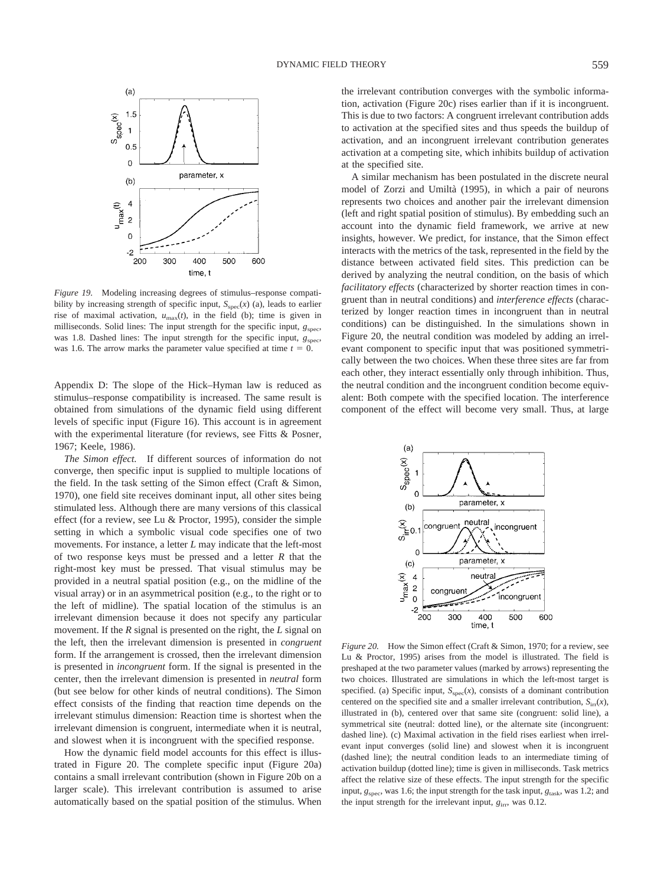

*Figure 19.* Modeling increasing degrees of stimulus–response compatibility by increasing strength of specific input,  $S_{\text{spec}}(x)$  (a), leads to earlier rise of maximal activation,  $u_{\text{max}}(t)$ , in the field (b); time is given in milliseconds. Solid lines: The input strength for the specific input,  $g_{\text{spec}}$ , was 1.8. Dashed lines: The input strength for the specific input,  $g_{\text{spec}}$ , was 1.6. The arrow marks the parameter value specified at time  $t = 0$ .

Appendix D: The slope of the Hick–Hyman law is reduced as stimulus–response compatibility is increased. The same result is obtained from simulations of the dynamic field using different levels of specific input (Figure 16). This account is in agreement with the experimental literature (for reviews, see Fitts & Posner, 1967; Keele, 1986).

*The Simon effect.* If different sources of information do not converge, then specific input is supplied to multiple locations of the field. In the task setting of the Simon effect (Craft & Simon, 1970), one field site receives dominant input, all other sites being stimulated less. Although there are many versions of this classical effect (for a review, see Lu & Proctor, 1995), consider the simple setting in which a symbolic visual code specifies one of two movements. For instance, a letter *L* may indicate that the left-most of two response keys must be pressed and a letter *R* that the right-most key must be pressed. That visual stimulus may be provided in a neutral spatial position (e.g., on the midline of the visual array) or in an asymmetrical position (e.g., to the right or to the left of midline). The spatial location of the stimulus is an irrelevant dimension because it does not specify any particular movement. If the *R* signal is presented on the right, the *L* signal on the left, then the irrelevant dimension is presented in *congruent* form. If the arrangement is crossed, then the irrelevant dimension is presented in *incongruent* form. If the signal is presented in the center, then the irrelevant dimension is presented in *neutral* form (but see below for other kinds of neutral conditions). The Simon effect consists of the finding that reaction time depends on the irrelevant stimulus dimension: Reaction time is shortest when the irrelevant dimension is congruent, intermediate when it is neutral, and slowest when it is incongruent with the specified response.

How the dynamic field model accounts for this effect is illustrated in Figure 20. The complete specific input (Figure 20a) contains a small irrelevant contribution (shown in Figure 20b on a larger scale). This irrelevant contribution is assumed to arise automatically based on the spatial position of the stimulus. When the irrelevant contribution converges with the symbolic information, activation (Figure 20c) rises earlier than if it is incongruent. This is due to two factors: A congruent irrelevant contribution adds to activation at the specified sites and thus speeds the buildup of activation, and an incongruent irrelevant contribution generates activation at a competing site, which inhibits buildup of activation at the specified site.

A similar mechanism has been postulated in the discrete neural model of Zorzi and Umiltà (1995), in which a pair of neurons represents two choices and another pair the irrelevant dimension (left and right spatial position of stimulus). By embedding such an account into the dynamic field framework, we arrive at new insights, however. We predict, for instance, that the Simon effect interacts with the metrics of the task, represented in the field by the distance between activated field sites. This prediction can be derived by analyzing the neutral condition, on the basis of which *facilitatory effects* (characterized by shorter reaction times in congruent than in neutral conditions) and *interference effects* (characterized by longer reaction times in incongruent than in neutral conditions) can be distinguished. In the simulations shown in Figure 20, the neutral condition was modeled by adding an irrelevant component to specific input that was positioned symmetrically between the two choices. When these three sites are far from each other, they interact essentially only through inhibition. Thus, the neutral condition and the incongruent condition become equivalent: Both compete with the specified location. The interference component of the effect will become very small. Thus, at large



*Figure 20.* How the Simon effect (Craft & Simon, 1970; for a review, see Lu & Proctor, 1995) arises from the model is illustrated. The field is preshaped at the two parameter values (marked by arrows) representing the two choices. Illustrated are simulations in which the left-most target is specified. (a) Specific input,  $S_{\text{spec}}(x)$ , consists of a dominant contribution centered on the specified site and a smaller irrelevant contribution,  $S<sub>irr</sub>(x)$ , illustrated in (b), centered over that same site (congruent: solid line), a symmetrical site (neutral: dotted line), or the alternate site (incongruent: dashed line). (c) Maximal activation in the field rises earliest when irrelevant input converges (solid line) and slowest when it is incongruent (dashed line); the neutral condition leads to an intermediate timing of activation buildup (dotted line); time is given in milliseconds. Task metrics affect the relative size of these effects. The input strength for the specific input,  $g_{\text{spec}}$ , was 1.6; the input strength for the task input,  $g_{\text{task}}$ , was 1.2; and the input strength for the irrelevant input,  $g_{irr}$ , was 0.12.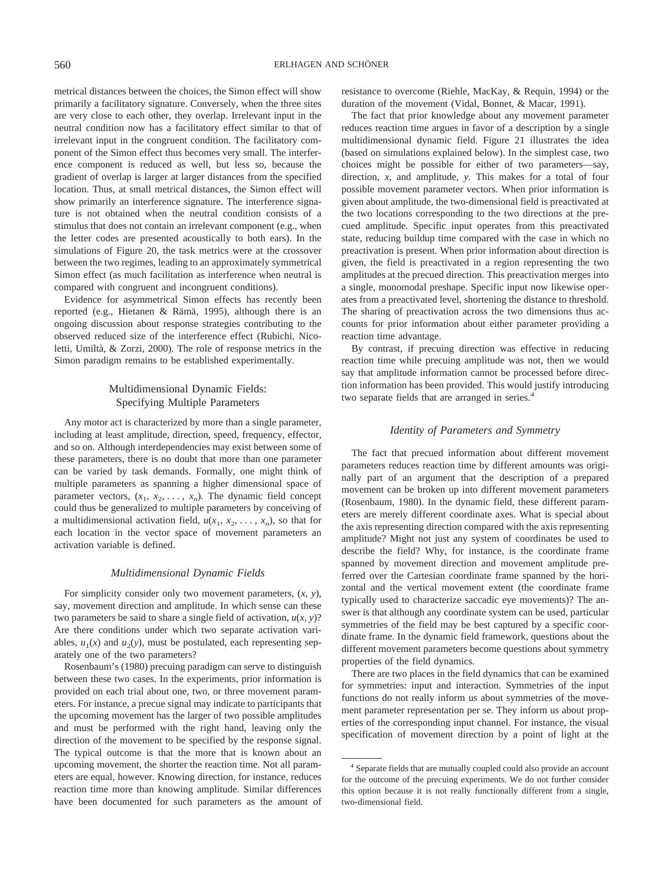metrical distances between the choices, the Simon effect will show primarily a facilitatory signature. Conversely, when the three sites are very close to each other, they overlap. Irrelevant input in the neutral condition now has a facilitatory effect similar to that of irrelevant input in the congruent condition. The facilitatory component of the Simon effect thus becomes very small. The interference component is reduced as well, but less so, because the gradient of overlap is larger at larger distances from the specified location. Thus, at small metrical distances, the Simon effect will show primarily an interference signature. The interference signature is not obtained when the neutral condition consists of a stimulus that does not contain an irrelevant component (e.g., when the letter codes are presented acoustically to both ears). In the simulations of Figure 20, the task metrics were at the crossover between the two regimes, leading to an approximately symmetrical Simon effect (as much facilitation as interference when neutral is compared with congruent and incongruent conditions).

Evidence for asymmetrical Simon effects has recently been reported (e.g., Hietanen & Rämä, 1995), although there is an ongoing discussion about response strategies contributing to the observed reduced size of the interference effect (Rubichi, Nicoletti, Umiltà, & Zorzi, 2000). The role of response metrics in the Simon paradigm remains to be established experimentally.

# Multidimensional Dynamic Fields: Specifying Multiple Parameters

Any motor act is characterized by more than a single parameter, including at least amplitude, direction, speed, frequency, effector, and so on. Although interdependencies may exist between some of these parameters, there is no doubt that more than one parameter can be varied by task demands. Formally, one might think of multiple parameters as spanning a higher dimensional space of parameter vectors,  $(x_1, x_2, \ldots, x_n)$ . The dynamic field concept could thus be generalized to multiple parameters by conceiving of a multidimensional activation field,  $u(x_1, x_2, \ldots, x_n)$ , so that for each location in the vector space of movement parameters an activation variable is defined.

# *Multidimensional Dynamic Fields*

For simplicity consider only two movement parameters, (*x, y*), say, movement direction and amplitude. In which sense can these two parameters be said to share a single field of activation,  $u(x, y)$ ? Are there conditions under which two separate activation variables,  $u_1(x)$  and  $u_2(y)$ , must be postulated, each representing separately one of the two parameters?

Rosenbaum's (1980) precuing paradigm can serve to distinguish between these two cases. In the experiments, prior information is provided on each trial about one, two, or three movement parameters. For instance, a precue signal may indicate to participants that the upcoming movement has the larger of two possible amplitudes and must be performed with the right hand, leaving only the direction of the movement to be specified by the response signal. The typical outcome is that the more that is known about an upcoming movement, the shorter the reaction time. Not all parameters are equal, however. Knowing direction, for instance, reduces reaction time more than knowing amplitude. Similar differences have been documented for such parameters as the amount of resistance to overcome (Riehle, MacKay, & Requin, 1994) or the duration of the movement (Vidal, Bonnet, & Macar, 1991).

The fact that prior knowledge about any movement parameter reduces reaction time argues in favor of a description by a single multidimensional dynamic field. Figure 21 illustrates the idea (based on simulations explained below). In the simplest case, two choices might be possible for either of two parameters—say, direction, *x,* and amplitude, *y.* This makes for a total of four possible movement parameter vectors. When prior information is given about amplitude, the two-dimensional field is preactivated at the two locations corresponding to the two directions at the precued amplitude. Specific input operates from this preactivated state, reducing buildup time compared with the case in which no preactivation is present. When prior information about direction is given, the field is preactivated in a region representing the two amplitudes at the precued direction. This preactivation merges into a single, monomodal preshape. Specific input now likewise operates from a preactivated level, shortening the distance to threshold. The sharing of preactivation across the two dimensions thus accounts for prior information about either parameter providing a reaction time advantage.

By contrast, if precuing direction was effective in reducing reaction time while precuing amplitude was not, then we would say that amplitude information cannot be processed before direction information has been provided. This would justify introducing two separate fields that are arranged in series.<sup>4</sup>

# *Identity of Parameters and Symmetry*

The fact that precued information about different movement parameters reduces reaction time by different amounts was originally part of an argument that the description of a prepared movement can be broken up into different movement parameters (Rosenbaum, 1980). In the dynamic field, these different parameters are merely different coordinate axes. What is special about the axis representing direction compared with the axis representing amplitude? Might not just any system of coordinates be used to describe the field? Why, for instance, is the coordinate frame spanned by movement direction and movement amplitude preferred over the Cartesian coordinate frame spanned by the horizontal and the vertical movement extent (the coordinate frame typically used to characterize saccadic eye movements)? The answer is that although any coordinate system can be used, particular symmetries of the field may be best captured by a specific coordinate frame. In the dynamic field framework, questions about the different movement parameters become questions about symmetry properties of the field dynamics.

There are two places in the field dynamics that can be examined for symmetries: input and interaction. Symmetries of the input functions do not really inform us about symmetries of the movement parameter representation per se. They inform us about properties of the corresponding input channel. For instance, the visual specification of movement direction by a point of light at the

<sup>&</sup>lt;sup>4</sup> Separate fields that are mutually coupled could also provide an account for the outcome of the precuing experiments. We do not further consider this option because it is not really functionally different from a single, two-dimensional field.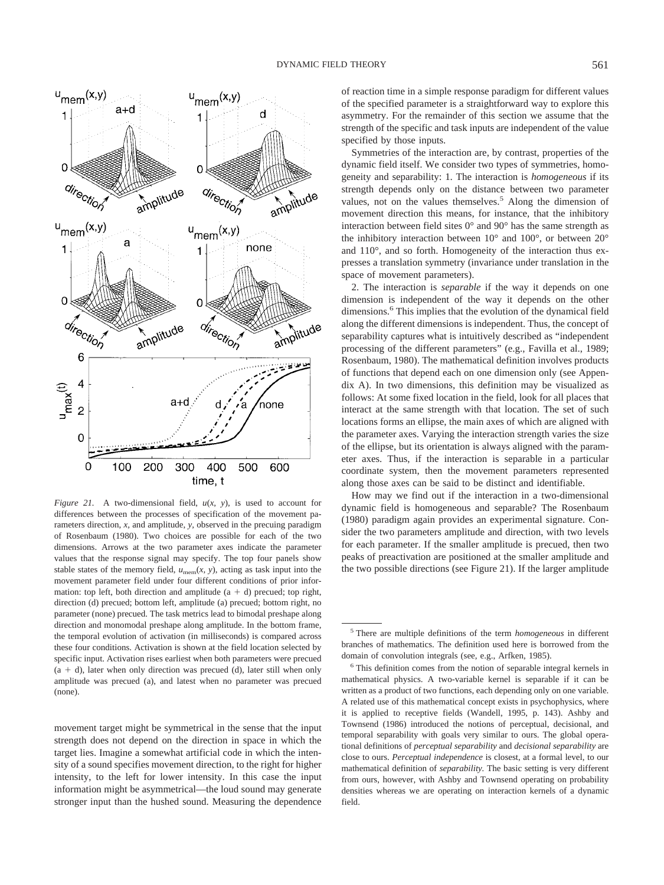

*Figure 21.* A two-dimensional field, *u*(*x, y*), is used to account for differences between the processes of specification of the movement parameters direction, *x,* and amplitude, *y,* observed in the precuing paradigm of Rosenbaum (1980). Two choices are possible for each of the two dimensions. Arrows at the two parameter axes indicate the parameter values that the response signal may specify. The top four panels show stable states of the memory field,  $u_{\text{mem}}(x, y)$ , acting as task input into the movement parameter field under four different conditions of prior information: top left, both direction and amplitude  $(a + d)$  precued; top right, direction (d) precued; bottom left, amplitude (a) precued; bottom right, no parameter (none) precued. The task metrics lead to bimodal preshape along direction and monomodal preshape along amplitude. In the bottom frame, the temporal evolution of activation (in milliseconds) is compared across these four conditions. Activation is shown at the field location selected by specific input. Activation rises earliest when both parameters were precued  $(a + d)$ , later when only direction was precued (d), later still when only amplitude was precued (a), and latest when no parameter was precued (none).

movement target might be symmetrical in the sense that the input strength does not depend on the direction in space in which the target lies. Imagine a somewhat artificial code in which the intensity of a sound specifies movement direction, to the right for higher intensity, to the left for lower intensity. In this case the input information might be asymmetrical—the loud sound may generate stronger input than the hushed sound. Measuring the dependence of reaction time in a simple response paradigm for different values of the specified parameter is a straightforward way to explore this asymmetry. For the remainder of this section we assume that the strength of the specific and task inputs are independent of the value specified by those inputs.

Symmetries of the interaction are, by contrast, properties of the dynamic field itself. We consider two types of symmetries, homogeneity and separability: 1. The interaction is *homogeneous* if its strength depends only on the distance between two parameter values, not on the values themselves.<sup>5</sup> Along the dimension of movement direction this means, for instance, that the inhibitory interaction between field sites 0° and 90° has the same strength as the inhibitory interaction between 10° and 100°, or between 20° and 110°, and so forth. Homogeneity of the interaction thus expresses a translation symmetry (invariance under translation in the space of movement parameters).

2. The interaction is *separable* if the way it depends on one dimension is independent of the way it depends on the other dimensions.<sup>6</sup> This implies that the evolution of the dynamical field along the different dimensions is independent. Thus, the concept of separability captures what is intuitively described as "independent processing of the different parameters" (e.g., Favilla et al., 1989; Rosenbaum, 1980). The mathematical definition involves products of functions that depend each on one dimension only (see Appendix A). In two dimensions, this definition may be visualized as follows: At some fixed location in the field, look for all places that interact at the same strength with that location. The set of such locations forms an ellipse, the main axes of which are aligned with the parameter axes. Varying the interaction strength varies the size of the ellipse, but its orientation is always aligned with the parameter axes. Thus, if the interaction is separable in a particular coordinate system, then the movement parameters represented along those axes can be said to be distinct and identifiable.

How may we find out if the interaction in a two-dimensional dynamic field is homogeneous and separable? The Rosenbaum (1980) paradigm again provides an experimental signature. Consider the two parameters amplitude and direction, with two levels for each parameter. If the smaller amplitude is precued, then two peaks of preactivation are positioned at the smaller amplitude and the two possible directions (see Figure 21). If the larger amplitude

<sup>5</sup> There are multiple definitions of the term *homogeneous* in different branches of mathematics. The definition used here is borrowed from the domain of convolution integrals (see, e.g., Arfken, 1985).

<sup>6</sup> This definition comes from the notion of separable integral kernels in mathematical physics. A two-variable kernel is separable if it can be written as a product of two functions, each depending only on one variable. A related use of this mathematical concept exists in psychophysics, where it is applied to receptive fields (Wandell, 1995, p. 143). Ashby and Townsend (1986) introduced the notions of perceptual, decisional, and temporal separability with goals very similar to ours. The global operational definitions of *perceptual separability* and *decisional separability* are close to ours. *Perceptual independence* is closest, at a formal level, to our mathematical definition of *separability.* The basic setting is very different from ours, however, with Ashby and Townsend operating on probability densities whereas we are operating on interaction kernels of a dynamic field.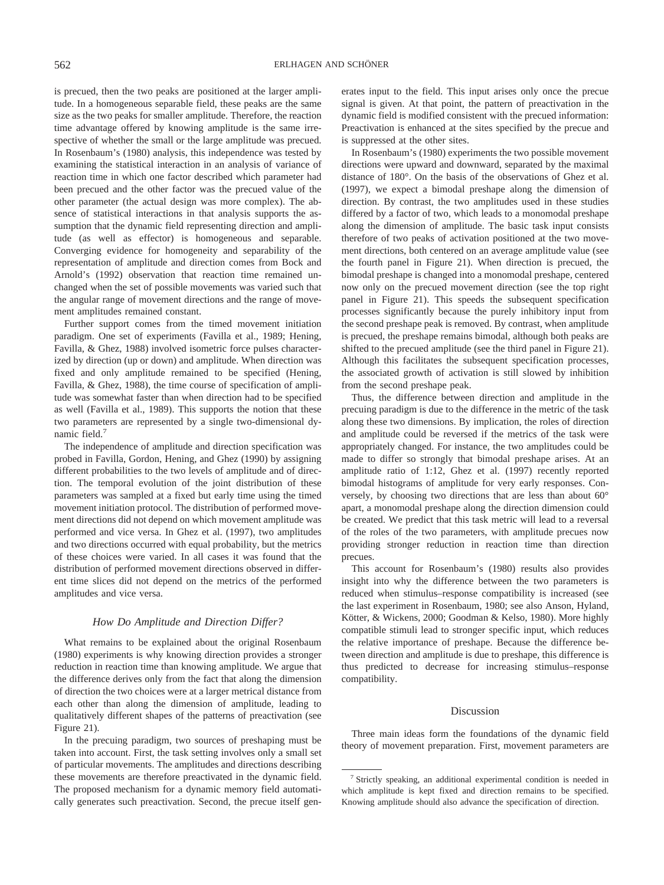is precued, then the two peaks are positioned at the larger amplitude. In a homogeneous separable field, these peaks are the same size as the two peaks for smaller amplitude. Therefore, the reaction time advantage offered by knowing amplitude is the same irrespective of whether the small or the large amplitude was precued. In Rosenbaum's (1980) analysis, this independence was tested by examining the statistical interaction in an analysis of variance of reaction time in which one factor described which parameter had been precued and the other factor was the precued value of the other parameter (the actual design was more complex). The absence of statistical interactions in that analysis supports the assumption that the dynamic field representing direction and amplitude (as well as effector) is homogeneous and separable. Converging evidence for homogeneity and separability of the representation of amplitude and direction comes from Bock and Arnold's (1992) observation that reaction time remained unchanged when the set of possible movements was varied such that the angular range of movement directions and the range of movement amplitudes remained constant.

Further support comes from the timed movement initiation paradigm. One set of experiments (Favilla et al., 1989; Hening, Favilla, & Ghez, 1988) involved isometric force pulses characterized by direction (up or down) and amplitude. When direction was fixed and only amplitude remained to be specified (Hening, Favilla, & Ghez, 1988), the time course of specification of amplitude was somewhat faster than when direction had to be specified as well (Favilla et al., 1989). This supports the notion that these two parameters are represented by a single two-dimensional dynamic field.7

The independence of amplitude and direction specification was probed in Favilla, Gordon, Hening, and Ghez (1990) by assigning different probabilities to the two levels of amplitude and of direction. The temporal evolution of the joint distribution of these parameters was sampled at a fixed but early time using the timed movement initiation protocol. The distribution of performed movement directions did not depend on which movement amplitude was performed and vice versa. In Ghez et al. (1997), two amplitudes and two directions occurred with equal probability, but the metrics of these choices were varied. In all cases it was found that the distribution of performed movement directions observed in different time slices did not depend on the metrics of the performed amplitudes and vice versa.

## *How Do Amplitude and Direction Differ?*

What remains to be explained about the original Rosenbaum (1980) experiments is why knowing direction provides a stronger reduction in reaction time than knowing amplitude. We argue that the difference derives only from the fact that along the dimension of direction the two choices were at a larger metrical distance from each other than along the dimension of amplitude, leading to qualitatively different shapes of the patterns of preactivation (see Figure 21).

In the precuing paradigm, two sources of preshaping must be taken into account. First, the task setting involves only a small set of particular movements. The amplitudes and directions describing these movements are therefore preactivated in the dynamic field. The proposed mechanism for a dynamic memory field automatically generates such preactivation. Second, the precue itself generates input to the field. This input arises only once the precue signal is given. At that point, the pattern of preactivation in the dynamic field is modified consistent with the precued information: Preactivation is enhanced at the sites specified by the precue and is suppressed at the other sites.

In Rosenbaum's (1980) experiments the two possible movement directions were upward and downward, separated by the maximal distance of 180°. On the basis of the observations of Ghez et al. (1997), we expect a bimodal preshape along the dimension of direction. By contrast, the two amplitudes used in these studies differed by a factor of two, which leads to a monomodal preshape along the dimension of amplitude. The basic task input consists therefore of two peaks of activation positioned at the two movement directions, both centered on an average amplitude value (see the fourth panel in Figure 21). When direction is precued, the bimodal preshape is changed into a monomodal preshape, centered now only on the precued movement direction (see the top right panel in Figure 21). This speeds the subsequent specification processes significantly because the purely inhibitory input from the second preshape peak is removed. By contrast, when amplitude is precued, the preshape remains bimodal, although both peaks are shifted to the precued amplitude (see the third panel in Figure 21). Although this facilitates the subsequent specification processes, the associated growth of activation is still slowed by inhibition from the second preshape peak.

Thus, the difference between direction and amplitude in the precuing paradigm is due to the difference in the metric of the task along these two dimensions. By implication, the roles of direction and amplitude could be reversed if the metrics of the task were appropriately changed. For instance, the two amplitudes could be made to differ so strongly that bimodal preshape arises. At an amplitude ratio of 1:12, Ghez et al. (1997) recently reported bimodal histograms of amplitude for very early responses. Conversely, by choosing two directions that are less than about 60° apart, a monomodal preshape along the direction dimension could be created. We predict that this task metric will lead to a reversal of the roles of the two parameters, with amplitude precues now providing stronger reduction in reaction time than direction precues.

This account for Rosenbaum's (1980) results also provides insight into why the difference between the two parameters is reduced when stimulus–response compatibility is increased (see the last experiment in Rosenbaum, 1980; see also Anson, Hyland, Kötter, & Wickens, 2000; Goodman & Kelso, 1980). More highly compatible stimuli lead to stronger specific input, which reduces the relative importance of preshape. Because the difference between direction and amplitude is due to preshape, this difference is thus predicted to decrease for increasing stimulus–response compatibility.

## Discussion

Three main ideas form the foundations of the dynamic field theory of movement preparation. First, movement parameters are

<sup>7</sup> Strictly speaking, an additional experimental condition is needed in which amplitude is kept fixed and direction remains to be specified. Knowing amplitude should also advance the specification of direction.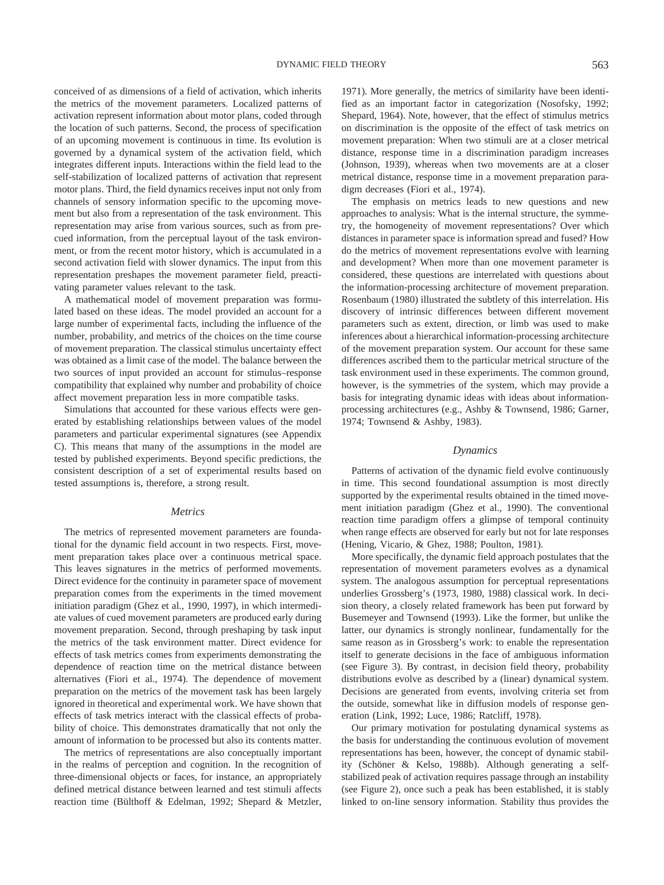conceived of as dimensions of a field of activation, which inherits the metrics of the movement parameters. Localized patterns of activation represent information about motor plans, coded through the location of such patterns. Second, the process of specification of an upcoming movement is continuous in time. Its evolution is governed by a dynamical system of the activation field, which integrates different inputs. Interactions within the field lead to the self-stabilization of localized patterns of activation that represent motor plans. Third, the field dynamics receives input not only from channels of sensory information specific to the upcoming movement but also from a representation of the task environment. This representation may arise from various sources, such as from precued information, from the perceptual layout of the task environment, or from the recent motor history, which is accumulated in a second activation field with slower dynamics. The input from this representation preshapes the movement parameter field, preactivating parameter values relevant to the task.

A mathematical model of movement preparation was formulated based on these ideas. The model provided an account for a large number of experimental facts, including the influence of the number, probability, and metrics of the choices on the time course of movement preparation. The classical stimulus uncertainty effect was obtained as a limit case of the model. The balance between the two sources of input provided an account for stimulus–response compatibility that explained why number and probability of choice affect movement preparation less in more compatible tasks.

Simulations that accounted for these various effects were generated by establishing relationships between values of the model parameters and particular experimental signatures (see Appendix C). This means that many of the assumptions in the model are tested by published experiments. Beyond specific predictions, the consistent description of a set of experimental results based on tested assumptions is, therefore, a strong result.

## *Metrics*

The metrics of represented movement parameters are foundational for the dynamic field account in two respects. First, movement preparation takes place over a continuous metrical space. This leaves signatures in the metrics of performed movements. Direct evidence for the continuity in parameter space of movement preparation comes from the experiments in the timed movement initiation paradigm (Ghez et al., 1990, 1997), in which intermediate values of cued movement parameters are produced early during movement preparation. Second, through preshaping by task input the metrics of the task environment matter. Direct evidence for effects of task metrics comes from experiments demonstrating the dependence of reaction time on the metrical distance between alternatives (Fiori et al., 1974). The dependence of movement preparation on the metrics of the movement task has been largely ignored in theoretical and experimental work. We have shown that effects of task metrics interact with the classical effects of probability of choice. This demonstrates dramatically that not only the amount of information to be processed but also its contents matter.

The metrics of representations are also conceptually important in the realms of perception and cognition. In the recognition of three-dimensional objects or faces, for instance, an appropriately defined metrical distance between learned and test stimuli affects reaction time (Bülthoff & Edelman, 1992; Shepard & Metzler, 1971). More generally, the metrics of similarity have been identified as an important factor in categorization (Nosofsky, 1992; Shepard, 1964). Note, however, that the effect of stimulus metrics on discrimination is the opposite of the effect of task metrics on movement preparation: When two stimuli are at a closer metrical distance, response time in a discrimination paradigm increases (Johnson, 1939), whereas when two movements are at a closer metrical distance, response time in a movement preparation paradigm decreases (Fiori et al., 1974).

The emphasis on metrics leads to new questions and new approaches to analysis: What is the internal structure, the symmetry, the homogeneity of movement representations? Over which distances in parameter space is information spread and fused? How do the metrics of movement representations evolve with learning and development? When more than one movement parameter is considered, these questions are interrelated with questions about the information-processing architecture of movement preparation. Rosenbaum (1980) illustrated the subtlety of this interrelation. His discovery of intrinsic differences between different movement parameters such as extent, direction, or limb was used to make inferences about a hierarchical information-processing architecture of the movement preparation system. Our account for these same differences ascribed them to the particular metrical structure of the task environment used in these experiments. The common ground, however, is the symmetries of the system, which may provide a basis for integrating dynamic ideas with ideas about informationprocessing architectures (e.g., Ashby & Townsend, 1986; Garner, 1974; Townsend & Ashby, 1983).

#### *Dynamics*

Patterns of activation of the dynamic field evolve continuously in time. This second foundational assumption is most directly supported by the experimental results obtained in the timed movement initiation paradigm (Ghez et al., 1990). The conventional reaction time paradigm offers a glimpse of temporal continuity when range effects are observed for early but not for late responses (Hening, Vicario, & Ghez, 1988; Poulton, 1981).

More specifically, the dynamic field approach postulates that the representation of movement parameters evolves as a dynamical system. The analogous assumption for perceptual representations underlies Grossberg's (1973, 1980, 1988) classical work. In decision theory, a closely related framework has been put forward by Busemeyer and Townsend (1993). Like the former, but unlike the latter, our dynamics is strongly nonlinear, fundamentally for the same reason as in Grossberg's work: to enable the representation itself to generate decisions in the face of ambiguous information (see Figure 3). By contrast, in decision field theory, probability distributions evolve as described by a (linear) dynamical system. Decisions are generated from events, involving criteria set from the outside, somewhat like in diffusion models of response generation (Link, 1992; Luce, 1986; Ratcliff, 1978).

Our primary motivation for postulating dynamical systems as the basis for understanding the continuous evolution of movement representations has been, however, the concept of dynamic stability (Schöner & Kelso, 1988b). Although generating a selfstabilized peak of activation requires passage through an instability (see Figure 2), once such a peak has been established, it is stably linked to on-line sensory information. Stability thus provides the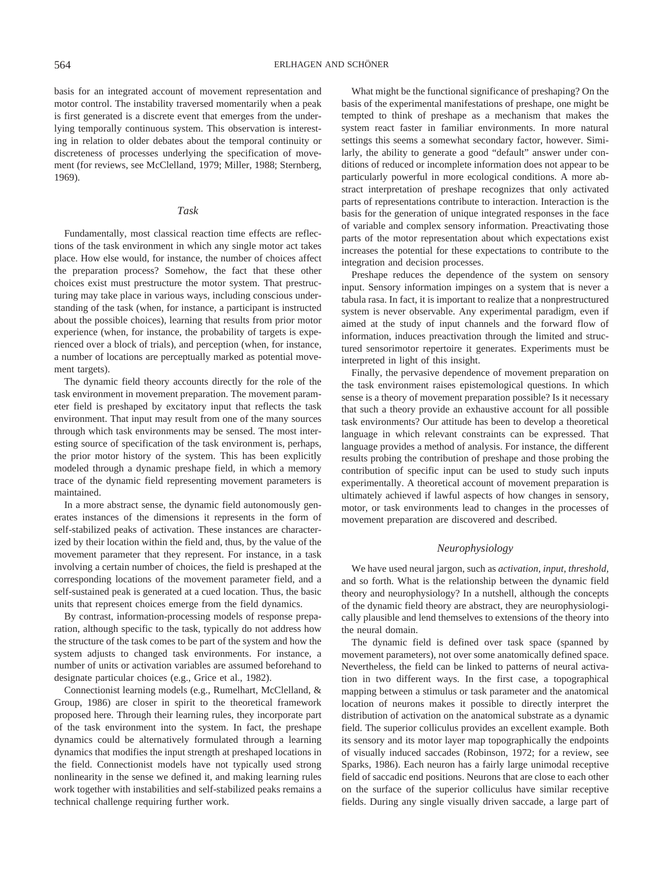basis for an integrated account of movement representation and motor control. The instability traversed momentarily when a peak is first generated is a discrete event that emerges from the underlying temporally continuous system. This observation is interesting in relation to older debates about the temporal continuity or discreteness of processes underlying the specification of movement (for reviews, see McClelland, 1979; Miller, 1988; Sternberg, 1969).

## *Task*

Fundamentally, most classical reaction time effects are reflections of the task environment in which any single motor act takes place. How else would, for instance, the number of choices affect the preparation process? Somehow, the fact that these other choices exist must prestructure the motor system. That prestructuring may take place in various ways, including conscious understanding of the task (when, for instance, a participant is instructed about the possible choices), learning that results from prior motor experience (when, for instance, the probability of targets is experienced over a block of trials), and perception (when, for instance, a number of locations are perceptually marked as potential movement targets).

The dynamic field theory accounts directly for the role of the task environment in movement preparation. The movement parameter field is preshaped by excitatory input that reflects the task environment. That input may result from one of the many sources through which task environments may be sensed. The most interesting source of specification of the task environment is, perhaps, the prior motor history of the system. This has been explicitly modeled through a dynamic preshape field, in which a memory trace of the dynamic field representing movement parameters is maintained.

In a more abstract sense, the dynamic field autonomously generates instances of the dimensions it represents in the form of self-stabilized peaks of activation. These instances are characterized by their location within the field and, thus, by the value of the movement parameter that they represent. For instance, in a task involving a certain number of choices, the field is preshaped at the corresponding locations of the movement parameter field, and a self-sustained peak is generated at a cued location. Thus, the basic units that represent choices emerge from the field dynamics.

By contrast, information-processing models of response preparation, although specific to the task, typically do not address how the structure of the task comes to be part of the system and how the system adjusts to changed task environments. For instance, a number of units or activation variables are assumed beforehand to designate particular choices (e.g., Grice et al., 1982).

Connectionist learning models (e.g., Rumelhart, McClelland, & Group, 1986) are closer in spirit to the theoretical framework proposed here. Through their learning rules, they incorporate part of the task environment into the system. In fact, the preshape dynamics could be alternatively formulated through a learning dynamics that modifies the input strength at preshaped locations in the field. Connectionist models have not typically used strong nonlinearity in the sense we defined it, and making learning rules work together with instabilities and self-stabilized peaks remains a technical challenge requiring further work.

What might be the functional significance of preshaping? On the basis of the experimental manifestations of preshape, one might be tempted to think of preshape as a mechanism that makes the system react faster in familiar environments. In more natural settings this seems a somewhat secondary factor, however. Similarly, the ability to generate a good "default" answer under conditions of reduced or incomplete information does not appear to be particularly powerful in more ecological conditions. A more abstract interpretation of preshape recognizes that only activated parts of representations contribute to interaction. Interaction is the basis for the generation of unique integrated responses in the face of variable and complex sensory information. Preactivating those parts of the motor representation about which expectations exist increases the potential for these expectations to contribute to the integration and decision processes.

Preshape reduces the dependence of the system on sensory input. Sensory information impinges on a system that is never a tabula rasa. In fact, it is important to realize that a nonprestructured system is never observable. Any experimental paradigm, even if aimed at the study of input channels and the forward flow of information, induces preactivation through the limited and structured sensorimotor repertoire it generates. Experiments must be interpreted in light of this insight.

Finally, the pervasive dependence of movement preparation on the task environment raises epistemological questions. In which sense is a theory of movement preparation possible? Is it necessary that such a theory provide an exhaustive account for all possible task environments? Our attitude has been to develop a theoretical language in which relevant constraints can be expressed. That language provides a method of analysis. For instance, the different results probing the contribution of preshape and those probing the contribution of specific input can be used to study such inputs experimentally. A theoretical account of movement preparation is ultimately achieved if lawful aspects of how changes in sensory, motor, or task environments lead to changes in the processes of movement preparation are discovered and described.

# *Neurophysiology*

We have used neural jargon, such as *activation, input, threshold,* and so forth. What is the relationship between the dynamic field theory and neurophysiology? In a nutshell, although the concepts of the dynamic field theory are abstract, they are neurophysiologically plausible and lend themselves to extensions of the theory into the neural domain.

The dynamic field is defined over task space (spanned by movement parameters), not over some anatomically defined space. Nevertheless, the field can be linked to patterns of neural activation in two different ways. In the first case, a topographical mapping between a stimulus or task parameter and the anatomical location of neurons makes it possible to directly interpret the distribution of activation on the anatomical substrate as a dynamic field. The superior colliculus provides an excellent example. Both its sensory and its motor layer map topographically the endpoints of visually induced saccades (Robinson, 1972; for a review, see Sparks, 1986). Each neuron has a fairly large unimodal receptive field of saccadic end positions. Neurons that are close to each other on the surface of the superior colliculus have similar receptive fields. During any single visually driven saccade, a large part of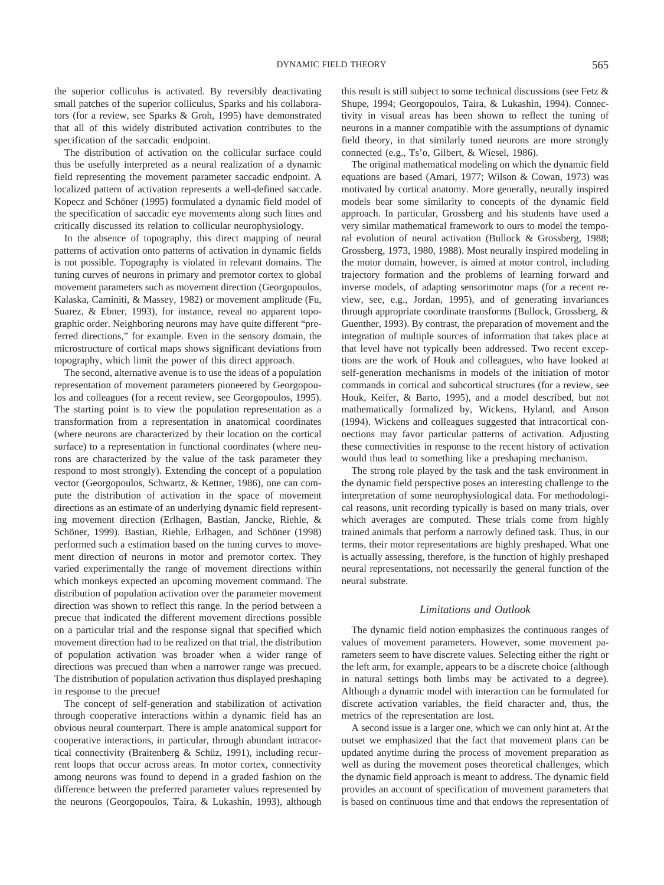the superior colliculus is activated. By reversibly deactivating small patches of the superior colliculus, Sparks and his collaborators (for a review, see Sparks & Groh, 1995) have demonstrated that all of this widely distributed activation contributes to the specification of the saccadic endpoint.

The distribution of activation on the collicular surface could thus be usefully interpreted as a neural realization of a dynamic field representing the movement parameter saccadic endpoint. A localized pattern of activation represents a well-defined saccade. Kopecz and Schöner (1995) formulated a dynamic field model of the specification of saccadic eye movements along such lines and critically discussed its relation to collicular neurophysiology.

In the absence of topography, this direct mapping of neural patterns of activation onto patterns of activation in dynamic fields is not possible. Topography is violated in relevant domains. The tuning curves of neurons in primary and premotor cortex to global movement parameters such as movement direction (Georgopoulos, Kalaska, Caminiti, & Massey, 1982) or movement amplitude (Fu, Suarez, & Ebner, 1993), for instance, reveal no apparent topographic order. Neighboring neurons may have quite different "preferred directions," for example. Even in the sensory domain, the microstructure of cortical maps shows significant deviations from topography, which limit the power of this direct approach.

The second, alternative avenue is to use the ideas of a population representation of movement parameters pioneered by Georgopoulos and colleagues (for a recent review, see Georgopoulos, 1995). The starting point is to view the population representation as a transformation from a representation in anatomical coordinates (where neurons are characterized by their location on the cortical surface) to a representation in functional coordinates (where neurons are characterized by the value of the task parameter they respond to most strongly). Extending the concept of a population vector (Georgopoulos, Schwartz, & Kettner, 1986), one can compute the distribution of activation in the space of movement directions as an estimate of an underlying dynamic field representing movement direction (Erlhagen, Bastian, Jancke, Riehle, & Schöner, 1999). Bastian, Riehle, Erlhagen, and Schöner (1998) performed such a estimation based on the tuning curves to movement direction of neurons in motor and premotor cortex. They varied experimentally the range of movement directions within which monkeys expected an upcoming movement command. The distribution of population activation over the parameter movement direction was shown to reflect this range. In the period between a precue that indicated the different movement directions possible on a particular trial and the response signal that specified which movement direction had to be realized on that trial, the distribution of population activation was broader when a wider range of directions was precued than when a narrower range was precued. The distribution of population activation thus displayed preshaping in response to the precue!

The concept of self-generation and stabilization of activation through cooperative interactions within a dynamic field has an obvious neural counterpart. There is ample anatomical support for cooperative interactions, in particular, through abundant intracortical connectivity (Braitenberg & Schüz, 1991), including recurrent loops that occur across areas. In motor cortex, connectivity among neurons was found to depend in a graded fashion on the difference between the preferred parameter values represented by the neurons (Georgopoulos, Taira, & Lukashin, 1993), although this result is still subject to some technical discussions (see Fetz & Shupe, 1994; Georgopoulos, Taira, & Lukashin, 1994). Connectivity in visual areas has been shown to reflect the tuning of neurons in a manner compatible with the assumptions of dynamic field theory, in that similarly tuned neurons are more strongly connected (e.g., Ts'o, Gilbert, & Wiesel, 1986).

The original mathematical modeling on which the dynamic field equations are based (Amari, 1977; Wilson & Cowan, 1973) was motivated by cortical anatomy. More generally, neurally inspired models bear some similarity to concepts of the dynamic field approach. In particular, Grossberg and his students have used a very similar mathematical framework to ours to model the temporal evolution of neural activation (Bullock & Grossberg, 1988; Grossberg, 1973, 1980, 1988). Most neurally inspired modeling in the motor domain, however, is aimed at motor control, including trajectory formation and the problems of learning forward and inverse models, of adapting sensorimotor maps (for a recent review, see, e.g., Jordan, 1995), and of generating invariances through appropriate coordinate transforms (Bullock, Grossberg, & Guenther, 1993). By contrast, the preparation of movement and the integration of multiple sources of information that takes place at that level have not typically been addressed. Two recent exceptions are the work of Houk and colleagues, who have looked at self-generation mechanisms in models of the initiation of motor commands in cortical and subcortical structures (for a review, see Houk, Keifer, & Barto, 1995), and a model described, but not mathematically formalized by, Wickens, Hyland, and Anson (1994). Wickens and colleagues suggested that intracortical connections may favor particular patterns of activation. Adjusting these connectivities in response to the recent history of activation would thus lead to something like a preshaping mechanism.

The strong role played by the task and the task environment in the dynamic field perspective poses an interesting challenge to the interpretation of some neurophysiological data. For methodological reasons, unit recording typically is based on many trials, over which averages are computed. These trials come from highly trained animals that perform a narrowly defined task. Thus, in our terms, their motor representations are highly preshaped. What one is actually assessing, therefore, is the function of highly preshaped neural representations, not necessarily the general function of the neural substrate.

#### *Limitations and Outlook*

The dynamic field notion emphasizes the continuous ranges of values of movement parameters. However, some movement parameters seem to have discrete values. Selecting either the right or the left arm, for example, appears to be a discrete choice (although in natural settings both limbs may be activated to a degree). Although a dynamic model with interaction can be formulated for discrete activation variables, the field character and, thus, the metrics of the representation are lost.

A second issue is a larger one, which we can only hint at. At the outset we emphasized that the fact that movement plans can be updated anytime during the process of movement preparation as well as during the movement poses theoretical challenges, which the dynamic field approach is meant to address. The dynamic field provides an account of specification of movement parameters that is based on continuous time and that endows the representation of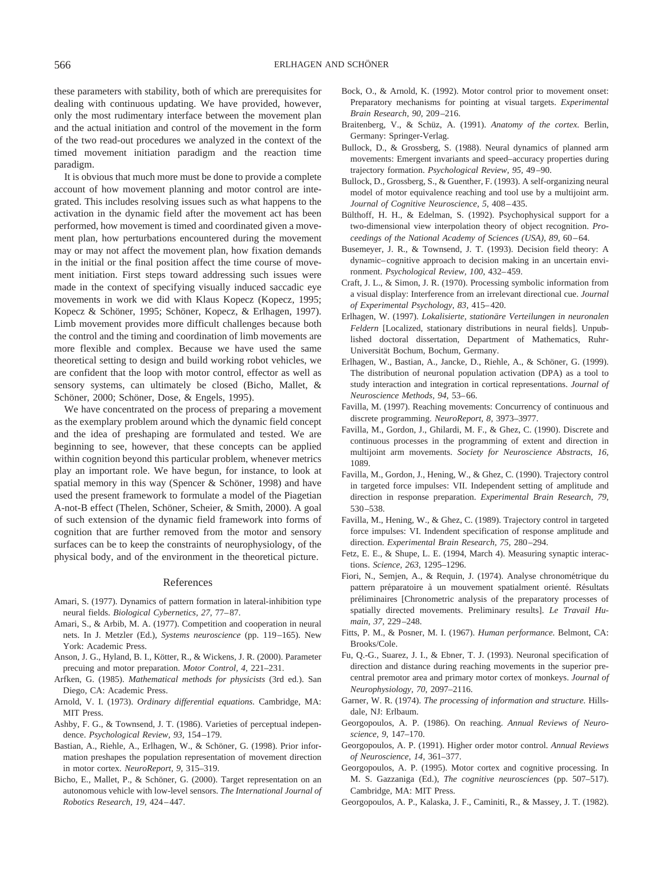these parameters with stability, both of which are prerequisites for dealing with continuous updating. We have provided, however, only the most rudimentary interface between the movement plan and the actual initiation and control of the movement in the form of the two read-out procedures we analyzed in the context of the timed movement initiation paradigm and the reaction time paradigm.

It is obvious that much more must be done to provide a complete account of how movement planning and motor control are integrated. This includes resolving issues such as what happens to the activation in the dynamic field after the movement act has been performed, how movement is timed and coordinated given a movement plan, how perturbations encountered during the movement may or may not affect the movement plan, how fixation demands in the initial or the final position affect the time course of movement initiation. First steps toward addressing such issues were made in the context of specifying visually induced saccadic eye movements in work we did with Klaus Kopecz (Kopecz, 1995; Kopecz & Schöner, 1995; Schöner, Kopecz, & Erlhagen, 1997). Limb movement provides more difficult challenges because both the control and the timing and coordination of limb movements are more flexible and complex. Because we have used the same theoretical setting to design and build working robot vehicles, we are confident that the loop with motor control, effector as well as sensory systems, can ultimately be closed (Bicho, Mallet, & Schöner, 2000; Schöner, Dose, & Engels, 1995).

We have concentrated on the process of preparing a movement as the exemplary problem around which the dynamic field concept and the idea of preshaping are formulated and tested. We are beginning to see, however, that these concepts can be applied within cognition beyond this particular problem, whenever metrics play an important role. We have begun, for instance, to look at spatial memory in this way (Spencer & Schöner, 1998) and have used the present framework to formulate a model of the Piagetian A-not-B effect (Thelen, Schöner, Scheier, & Smith, 2000). A goal of such extension of the dynamic field framework into forms of cognition that are further removed from the motor and sensory surfaces can be to keep the constraints of neurophysiology, of the physical body, and of the environment in the theoretical picture.

#### References

- Amari, S. (1977). Dynamics of pattern formation in lateral-inhibition type neural fields. *Biological Cybernetics, 27,* 77–87.
- Amari, S., & Arbib, M. A. (1977). Competition and cooperation in neural nets. In J. Metzler (Ed.), *Systems neuroscience* (pp. 119–165). New York: Academic Press.
- Anson, J. G., Hyland, B. I., Kötter, R., & Wickens, J. R. (2000). Parameter precuing and motor preparation. *Motor Control, 4,* 221–231.
- Arfken, G. (1985). *Mathematical methods for physicists* (3rd ed.). San Diego, CA: Academic Press.
- Arnold, V. I. (1973). *Ordinary differential equations.* Cambridge, MA: MIT Press.
- Ashby, F. G., & Townsend, J. T. (1986). Varieties of perceptual independence. *Psychological Review, 93,* 154–179.
- Bastian, A., Riehle, A., Erlhagen, W., & Schöner, G. (1998). Prior information preshapes the population representation of movement direction in motor cortex. *NeuroReport, 9,* 315–319.
- Bicho, E., Mallet, P., & Schöner, G. (2000). Target representation on an autonomous vehicle with low-level sensors. *The International Journal of Robotics Research, 19,* 424–447.
- Bock, O., & Arnold, K. (1992). Motor control prior to movement onset: Preparatory mechanisms for pointing at visual targets. *Experimental Brain Research, 90,* 209–216.
- Braitenberg, V., & Schüz, A. (1991). *Anatomy of the cortex*. Berlin, Germany: Springer-Verlag.
- Bullock, D., & Grossberg, S. (1988). Neural dynamics of planned arm movements: Emergent invariants and speed–accuracy properties during trajectory formation. *Psychological Review, 95,* 49–90.
- Bullock, D., Grossberg, S., & Guenther, F. (1993). A self-organizing neural model of motor equivalence reaching and tool use by a multijoint arm. *Journal of Cognitive Neuroscience, 5,* 408–435.
- Bülthoff, H. H., & Edelman, S. (1992). Psychophysical support for a two-dimensional view interpolation theory of object recognition. *Proceedings of the National Academy of Sciences (USA), 89,* 60–64.
- Busemeyer, J. R., & Townsend, J. T. (1993). Decision field theory: A dynamic–cognitive approach to decision making in an uncertain environment. *Psychological Review, 100,* 432–459.
- Craft, J. L., & Simon, J. R. (1970). Processing symbolic information from a visual display: Interference from an irrelevant directional cue. *Journal of Experimental Psychology, 83,* 415–420.
- Erlhagen, W. (1997). *Lokalisierte, stationa¨re Verteilungen in neuronalen Feldern* [Localized, stationary distributions in neural fields]. Unpublished doctoral dissertation, Department of Mathematics, Ruhr-Universität Bochum, Bochum, Germany.
- Erlhagen, W., Bastian, A., Jancke, D., Riehle, A., & Schöner, G. (1999). The distribution of neuronal population activation (DPA) as a tool to study interaction and integration in cortical representations. *Journal of Neuroscience Methods, 94,* 53–66.
- Favilla, M. (1997). Reaching movements: Concurrency of continuous and discrete programming. *NeuroReport, 8,* 3973–3977.
- Favilla, M., Gordon, J., Ghilardi, M. F., & Ghez, C. (1990). Discrete and continuous processes in the programming of extent and direction in multijoint arm movements. *Society for Neuroscience Abstracts, 16,* 1089.
- Favilla, M., Gordon, J., Hening, W., & Ghez, C. (1990). Trajectory control in targeted force impulses: VII. Independent setting of amplitude and direction in response preparation. *Experimental Brain Research, 79,* 530–538.
- Favilla, M., Hening, W., & Ghez, C. (1989). Trajectory control in targeted force impulses: VI. Indendent specification of response amplitude and direction. *Experimental Brain Research, 75,* 280–294.
- Fetz, E. E., & Shupe, L. E. (1994, March 4). Measuring synaptic interactions. *Science, 263,* 1295–1296.
- Fiori, N., Semjen, A., & Requin, J. (1974). Analyse chronométrique du pattern préparatoire à un mouvement spatialment orienté. Résultats préliminaires [Chronometric analysis of the preparatory processes of spatially directed movements. Preliminary results]. *Le Travail Humain, 37,* 229–248.
- Fitts, P. M., & Posner, M. I. (1967). *Human performance.* Belmont, CA: Brooks/Cole.
- Fu, Q.-G., Suarez, J. I., & Ebner, T. J. (1993). Neuronal specification of direction and distance during reaching movements in the superior precentral premotor area and primary motor cortex of monkeys. *Journal of Neurophysiology, 70,* 2097–2116.
- Garner, W. R. (1974). *The processing of information and structure.* Hillsdale, NJ: Erlbaum.
- Georgopoulos, A. P. (1986). On reaching. *Annual Reviews of Neuroscience, 9,* 147–170.
- Georgopoulos, A. P. (1991). Higher order motor control. *Annual Reviews of Neuroscience, 14,* 361–377.
- Georgopoulos, A. P. (1995). Motor cortex and cognitive processing. In M. S. Gazzaniga (Ed.), *The cognitive neurosciences* (pp. 507–517). Cambridge, MA: MIT Press.
- Georgopoulos, A. P., Kalaska, J. F., Caminiti, R., & Massey, J. T. (1982).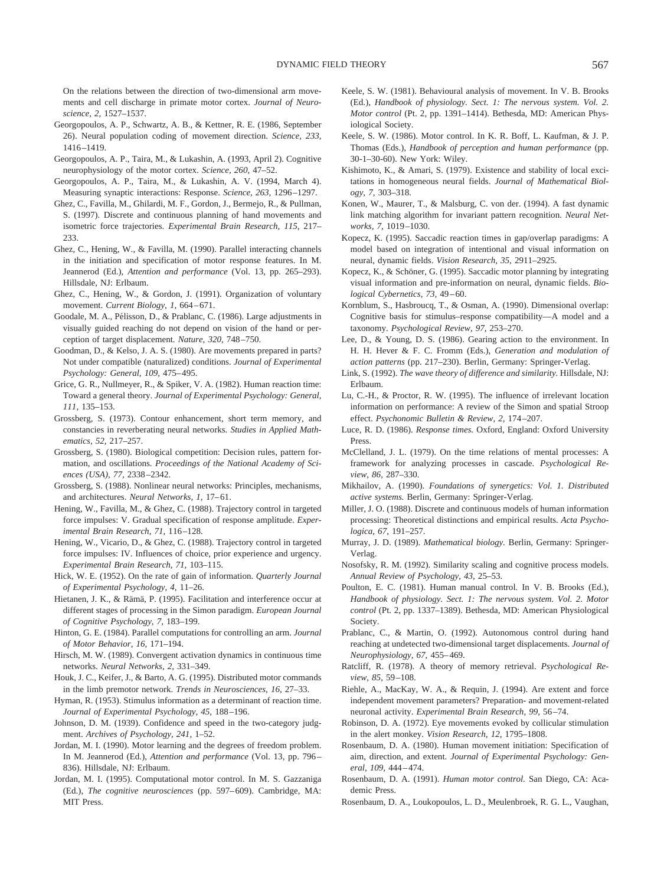On the relations between the direction of two-dimensional arm movements and cell discharge in primate motor cortex. *Journal of Neuroscience, 2,* 1527–1537.

- Georgopoulos, A. P., Schwartz, A. B., & Kettner, R. E. (1986, September 26). Neural population coding of movement direction. *Science, 233,* 1416–1419.
- Georgopoulos, A. P., Taira, M., & Lukashin, A. (1993, April 2). Cognitive neurophysiology of the motor cortex. *Science, 260,* 47–52.
- Georgopoulos, A. P., Taira, M., & Lukashin, A. V. (1994, March 4). Measuring synaptic interactions: Response. *Science, 263,* 1296–1297.
- Ghez, C., Favilla, M., Ghilardi, M. F., Gordon, J., Bermejo, R., & Pullman, S. (1997). Discrete and continuous planning of hand movements and isometric force trajectories. *Experimental Brain Research, 115,* 217– 233.
- Ghez, C., Hening, W., & Favilla, M. (1990). Parallel interacting channels in the initiation and specification of motor response features. In M. Jeannerod (Ed.), *Attention and performance* (Vol. 13, pp. 265–293). Hillsdale, NJ: Erlbaum.
- Ghez, C., Hening, W., & Gordon, J. (1991). Organization of voluntary movement. *Current Biology, 1,* 664–671.
- Goodale, M. A., Pélisson, D., & Prablanc, C. (1986). Large adjustments in visually guided reaching do not depend on vision of the hand or perception of target displacement. *Nature, 320,* 748–750.
- Goodman, D., & Kelso, J. A. S. (1980). Are movements prepared in parts? Not under compatible (naturalized) conditions. *Journal of Experimental Psychology: General, 109,* 475–495.
- Grice, G. R., Nullmeyer, R., & Spiker, V. A. (1982). Human reaction time: Toward a general theory. *Journal of Experimental Psychology: General, 111,* 135–153.
- Grossberg, S. (1973). Contour enhancement, short term memory, and constancies in reverberating neural networks. *Studies in Applied Mathematics, 52,* 217–257.
- Grossberg, S. (1980). Biological competition: Decision rules, pattern formation, and oscillations. *Proceedings of the National Academy of Sciences (USA), 77,* 2338–2342.
- Grossberg, S. (1988). Nonlinear neural networks: Principles, mechanisms, and architectures. *Neural Networks, 1,* 17–61.
- Hening, W., Favilla, M., & Ghez, C. (1988). Trajectory control in targeted force impulses: V. Gradual specification of response amplitude. *Experimental Brain Research, 71,* 116–128.
- Hening, W., Vicario, D., & Ghez, C. (1988). Trajectory control in targeted force impulses: IV. Influences of choice, prior experience and urgency. *Experimental Brain Research, 71,* 103–115.
- Hick, W. E. (1952). On the rate of gain of information. *Quarterly Journal of Experimental Psychology, 4,* 11–26.
- Hietanen, J. K., & Rämä, P. (1995). Facilitation and interference occur at different stages of processing in the Simon paradigm. *European Journal of Cognitive Psychology, 7,* 183–199.
- Hinton, G. E. (1984). Parallel computations for controlling an arm. *Journal of Motor Behavior, 16,* 171–194.
- Hirsch, M. W. (1989). Convergent activation dynamics in continuous time networks. *Neural Networks, 2,* 331–349.
- Houk, J. C., Keifer, J., & Barto, A. G. (1995). Distributed motor commands in the limb premotor network. *Trends in Neurosciences, 16,* 27–33.
- Hyman, R. (1953). Stimulus information as a determinant of reaction time. *Journal of Experimental Psychology, 45,* 188–196.
- Johnson, D. M. (1939). Confidence and speed in the two-category judgment. *Archives of Psychology, 241,* 1–52.
- Jordan, M. I. (1990). Motor learning and the degrees of freedom problem. In M. Jeannerod (Ed.), *Attention and performance* (Vol. 13, pp. 796– 836). Hillsdale, NJ: Erlbaum.
- Jordan, M. I. (1995). Computational motor control. In M. S. Gazzaniga (Ed.), *The cognitive neurosciences* (pp. 597–609). Cambridge, MA: MIT Press.
- Keele, S. W. (1981). Behavioural analysis of movement. In V. B. Brooks (Ed.), *Handbook of physiology. Sect. 1: The nervous system. Vol. 2. Motor control* (Pt. 2, pp. 1391–1414). Bethesda, MD: American Physiological Society.
- Keele, S. W. (1986). Motor control. In K. R. Boff, L. Kaufman, & J. P. Thomas (Eds.), *Handbook of perception and human performance* (pp. 30-1–30-60). New York: Wiley.
- Kishimoto, K., & Amari, S. (1979). Existence and stability of local excitations in homogeneous neural fields. *Journal of Mathematical Biology, 7,* 303–318.
- Konen, W., Maurer, T., & Malsburg, C. von der. (1994). A fast dynamic link matching algorithm for invariant pattern recognition. *Neural Networks, 7,* 1019–1030.
- Kopecz, K. (1995). Saccadic reaction times in gap/overlap paradigms: A model based on integration of intentional and visual information on neural, dynamic fields. *Vision Research, 35,* 2911–2925.
- Kopecz, K., & Schöner, G. (1995). Saccadic motor planning by integrating visual information and pre-information on neural, dynamic fields. *Biological Cybernetics, 73,* 49–60.
- Kornblum, S., Hasbroucq, T., & Osman, A. (1990). Dimensional overlap: Cognitive basis for stimulus–response compatibility—A model and a taxonomy. *Psychological Review, 97,* 253–270.
- Lee, D., & Young, D. S. (1986). Gearing action to the environment. In H. H. Hever & F. C. Fromm (Eds.), *Generation and modulation of action patterns* (pp. 217–230). Berlin, Germany: Springer-Verlag.
- Link, S. (1992). *The wave theory of difference and similarity.* Hillsdale, NJ: Erlbaum.
- Lu, C.-H., & Proctor, R. W. (1995). The influence of irrelevant location information on performance: A review of the Simon and spatial Stroop effect. *Psychonomic Bulletin & Review, 2,* 174–207.
- Luce, R. D. (1986). *Response times.* Oxford, England: Oxford University Press.
- McClelland, J. L. (1979). On the time relations of mental processes: A framework for analyzing processes in cascade. *Psychological Review, 86,* 287–330.
- Mikhailov, A. (1990). *Foundations of synergetics: Vol. 1. Distributed active systems.* Berlin, Germany: Springer-Verlag.
- Miller, J. O. (1988). Discrete and continuous models of human information processing: Theoretical distinctions and empirical results. *Acta Psychologica, 67,* 191–257.
- Murray, J. D. (1989). *Mathematical biology.* Berlin, Germany: Springer-Verlag.
- Nosofsky, R. M. (1992). Similarity scaling and cognitive process models. *Annual Review of Psychology, 43,* 25–53.
- Poulton, E. C. (1981). Human manual control. In V. B. Brooks (Ed.), *Handbook of physiology. Sect. 1: The nervous system. Vol. 2. Motor control* (Pt. 2, pp. 1337–1389). Bethesda, MD: American Physiological Society.
- Prablanc, C., & Martin, O. (1992). Autonomous control during hand reaching at undetected two-dimensional target displacements. *Journal of Neurophysiology, 67,* 455–469.
- Ratcliff, R. (1978). A theory of memory retrieval. *Psychological Review, 85,* 59–108.
- Riehle, A., MacKay, W. A., & Requin, J. (1994). Are extent and force independent movement parameters? Preparation- and movement-related neuronal activity. *Experimental Brain Research, 99,* 56–74.
- Robinson, D. A. (1972). Eye movements evoked by collicular stimulation in the alert monkey. *Vision Research, 12,* 1795–1808.
- Rosenbaum, D. A. (1980). Human movement initiation: Specification of aim, direction, and extent. *Journal of Experimental Psychology: General, 109,* 444–474.
- Rosenbaum, D. A. (1991). *Human motor control.* San Diego, CA: Academic Press.
- Rosenbaum, D. A., Loukopoulos, L. D., Meulenbroek, R. G. L., Vaughan,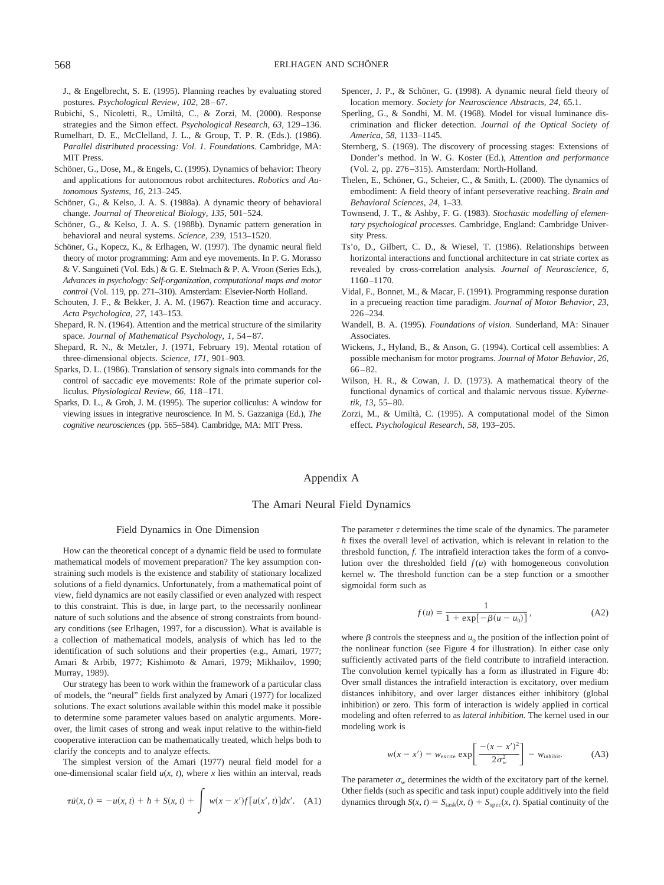J., & Engelbrecht, S. E. (1995). Planning reaches by evaluating stored postures. *Psychological Review, 102,* 28–67.

- Rubichi, S., Nicoletti, R., Umiltà, C., & Zorzi, M. (2000). Response strategies and the Simon effect. *Psychological Research, 63,* 129–136.
- Rumelhart, D. E., McClelland, J. L., & Group, T. P. R. (Eds.). (1986). *Parallel distributed processing: Vol. 1. Foundations.* Cambridge, MA: MIT Press.
- Schöner, G., Dose, M., & Engels, C. (1995). Dynamics of behavior: Theory and applications for autonomous robot architectures. *Robotics and Autonomous Systems, 16,* 213–245.
- Schöner, G., & Kelso, J. A. S. (1988a). A dynamic theory of behavioral change. *Journal of Theoretical Biology, 135,* 501–524.
- Schöner, G., & Kelso, J. A. S. (1988b). Dynamic pattern generation in behavioral and neural systems. *Science, 239,* 1513–1520.
- Schöner, G., Kopecz, K., & Erlhagen, W. (1997). The dynamic neural field theory of motor programming: Arm and eye movements. In P. G. Morasso & V. Sanguineti (Vol. Eds.) & G. E. Stelmach & P. A. Vroon (Series Eds.), *Advances in psychology: Self-organization, computational maps and motor control* (Vol. 119, pp. 271–310). Amsterdam: Elsevier-North Holland.
- Schouten, J. F., & Bekker, J. A. M. (1967). Reaction time and accuracy. *Acta Psychologica, 27,* 143–153.
- Shepard, R. N. (1964). Attention and the metrical structure of the similarity space. *Journal of Mathematical Psychology, 1,* 54–87.
- Shepard, R. N., & Metzler, J. (1971, February 19). Mental rotation of three-dimensional objects. *Science, 171,* 901–903.
- Sparks, D. L. (1986). Translation of sensory signals into commands for the control of saccadic eye movements: Role of the primate superior colliculus. *Physiological Review, 66,* 118–171.
- Sparks, D. L., & Groh, J. M. (1995). The superior colliculus: A window for viewing issues in integrative neuroscience. In M. S. Gazzaniga (Ed.), *The cognitive neurosciences* (pp. 565–584). Cambridge, MA: MIT Press.
- Spencer, J. P., & Schöner, G. (1998). A dynamic neural field theory of location memory. *Society for Neuroscience Abstracts, 24,* 65.1.
- Sperling, G., & Sondhi, M. M. (1968). Model for visual luminance discrimination and flicker detection. *Journal of the Optical Society of America, 58,* 1133–1145.
- Sternberg, S. (1969). The discovery of processing stages: Extensions of Donder's method. In W. G. Koster (Ed.), *Attention and performance* (Vol. 2, pp. 276–315). Amsterdam: North-Holland.
- Thelen, E., Schöner, G., Scheier, C., & Smith, L. (2000). The dynamics of embodiment: A field theory of infant perseverative reaching. *Brain and Behavioral Sciences, 24,* 1–33.
- Townsend, J. T., & Ashby, F. G. (1983). *Stochastic modelling of elementary psychological processes.* Cambridge, England: Cambridge University Press.
- Ts'o, D., Gilbert, C. D., & Wiesel, T. (1986). Relationships between horizontal interactions and functional architecture in cat striate cortex as revealed by cross-correlation analysis. *Journal of Neuroscience, 6,* 1160–1170.
- Vidal, F., Bonnet, M., & Macar, F. (1991). Programming response duration in a precueing reaction time paradigm. *Journal of Motor Behavior, 23,* 226–234.
- Wandell, B. A. (1995). *Foundations of vision.* Sunderland, MA: Sinauer Associates.
- Wickens, J., Hyland, B., & Anson, G. (1994). Cortical cell assemblies: A possible mechanism for motor programs. *Journal of Motor Behavior, 26,* 66–82.
- Wilson, H. R., & Cowan, J. D. (1973). A mathematical theory of the functional dynamics of cortical and thalamic nervous tissue. *Kybernetik, 13,* 55–80.
- Zorzi, M., & Umiltà, C. (1995). A computational model of the Simon effect. *Psychological Research, 58,* 193–205.

# Appendix A

# The Amari Neural Field Dynamics

#### Field Dynamics in One Dimension

How can the theoretical concept of a dynamic field be used to formulate mathematical models of movement preparation? The key assumption constraining such models is the existence and stability of stationary localized solutions of a field dynamics. Unfortunately, from a mathematical point of view, field dynamics are not easily classified or even analyzed with respect to this constraint. This is due, in large part, to the necessarily nonlinear nature of such solutions and the absence of strong constraints from boundary conditions (see Erlhagen, 1997, for a discussion). What is available is a collection of mathematical models, analysis of which has led to the identification of such solutions and their properties (e.g., Amari, 1977; Amari & Arbib, 1977; Kishimoto & Amari, 1979; Mikhailov, 1990; Murray, 1989).

Our strategy has been to work within the framework of a particular class of models, the "neural" fields first analyzed by Amari (1977) for localized solutions. The exact solutions available within this model make it possible to determine some parameter values based on analytic arguments. Moreover, the limit cases of strong and weak input relative to the within-field cooperative interaction can be mathematically treated, which helps both to clarify the concepts and to analyze effects.

The simplest version of the Amari (1977) neural field model for a one-dimensional scalar field  $u(x, t)$ , where *x* lies within an interval, reads

$$
\tau \dot{u}(x, t) = -u(x, t) + h + S(x, t) + \int w(x - x') f[u(x', t)] dx'. \quad (A1)
$$

The parameter  $\tau$  determines the time scale of the dynamics. The parameter *h* fixes the overall level of activation, which is relevant in relation to the threshold function, *f.* The intrafield interaction takes the form of a convolution over the thresholded field  $f(u)$  with homogeneous convolution kernel *w.* The threshold function can be a step function or a smoother sigmoidal form such as

$$
f(u) = \frac{1}{1 + \exp[-\beta(u - u_0)]},
$$
 (A2)

where  $\beta$  controls the steepness and  $u_0$  the position of the inflection point of the nonlinear function (see Figure 4 for illustration). In either case only sufficiently activated parts of the field contribute to intrafield interaction. The convolution kernel typically has a form as illustrated in Figure 4b: Over small distances the intrafield interaction is excitatory, over medium distances inhibitory, and over larger distances either inhibitory (global inhibition) or zero. This form of interaction is widely applied in cortical modeling and often referred to as *lateral inhibition.* The kernel used in our modeling work is

$$
w(x - x') = w_{\text{excite}} \exp\left[\frac{-(x - x')^2}{2\sigma_w^2}\right] - w_{\text{inhibit}}.\tag{A3}
$$

The parameter  $\sigma_w$  determines the width of the excitatory part of the kernel. Other fields (such as specific and task input) couple additively into the field dynamics through  $S(x, t) = S_{\text{task}}(x, t) + S_{\text{spec}}(x, t)$ . Spatial continuity of the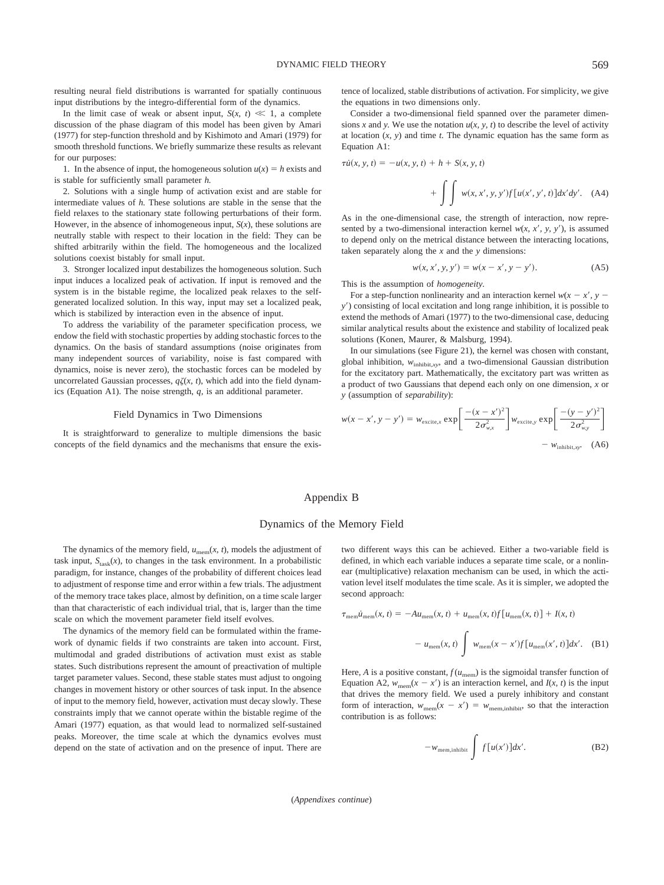resulting neural field distributions is warranted for spatially continuous input distributions by the integro-differential form of the dynamics.

In the limit case of weak or absent input,  $S(x, t) \ll 1$ , a complete discussion of the phase diagram of this model has been given by Amari (1977) for step-function threshold and by Kishimoto and Amari (1979) for smooth threshold functions. We briefly summarize these results as relevant for our purposes:

1. In the absence of input, the homogeneous solution  $u(x) = h$  exists and is stable for sufficiently small parameter *h.*

2. Solutions with a single hump of activation exist and are stable for intermediate values of *h.* These solutions are stable in the sense that the field relaxes to the stationary state following perturbations of their form. However, in the absence of inhomogeneous input,  $S(x)$ , these solutions are neutrally stable with respect to their location in the field: They can be shifted arbitrarily within the field. The homogeneous and the localized solutions coexist bistably for small input.

3. Stronger localized input destabilizes the homogeneous solution. Such input induces a localized peak of activation. If input is removed and the system is in the bistable regime, the localized peak relaxes to the selfgenerated localized solution. In this way, input may set a localized peak, which is stabilized by interaction even in the absence of input.

To address the variability of the parameter specification process, we endow the field with stochastic properties by adding stochastic forces to the dynamics. On the basis of standard assumptions (noise originates from many independent sources of variability, noise is fast compared with dynamics, noise is never zero), the stochastic forces can be modeled by uncorrelated Gaussian processes,  $q\zeta(x, t)$ , which add into the field dynamics (Equation A1). The noise strength, *q,* is an additional parameter.

#### Field Dynamics in Two Dimensions

It is straightforward to generalize to multiple dimensions the basic concepts of the field dynamics and the mechanisms that ensure the existence of localized, stable distributions of activation. For simplicity, we give the equations in two dimensions only.

Consider a two-dimensional field spanned over the parameter dimensions *x* and *y*. We use the notation  $u(x, y, t)$  to describe the level of activity at location (*x, y*) and time *t.* The dynamic equation has the same form as Equation A1:

$$
\tau \dot{u}(x, y, t) = -u(x, y, t) + h + S(x, y, t)
$$

$$
+ \int \int w(x, x', y, y') f[u(x', y', t)] dx'dy'. \quad (A4)
$$

As in the one-dimensional case, the strength of interaction, now represented by a two-dimensional interaction kernel  $w(x, x', y, y')$ , is assumed to depend only on the metrical distance between the interacting locations, taken separately along the *x* and the *y* dimensions:

$$
w(x, x', y, y') = w(x - x', y - y').
$$
 (A5)

This is the assumption of *homogeneity.*

For a step-function nonlinearity and an interaction kernel  $w(x - x', y - y)$ *y*) consisting of local excitation and long range inhibition, it is possible to extend the methods of Amari (1977) to the two-dimensional case, deducing similar analytical results about the existence and stability of localized peak solutions (Konen, Maurer, & Malsburg, 1994).

In our simulations (see Figure 21), the kernel was chosen with constant, global inhibition,  $w_{\text{inhibit,xy}}$  and a two-dimensional Gaussian distribution for the excitatory part. Mathematically, the excitatory part was written as a product of two Gaussians that depend each only on one dimension, *x* or *y* (assumption of *separability*):

$$
w(x - x', y - y') = w_{\text{excite},x} \exp\left[\frac{-(x - x')^2}{2\sigma_{w,x}^2}\right] w_{\text{excite},y} \exp\left[\frac{-(y - y')^2}{2\sigma_{w,y}^2}\right]
$$

$$
- w_{\text{inhibit},xy} \quad (A6)
$$

# Appendix B

# Dynamics of the Memory Field

 $\tau$ 

The dynamics of the memory field,  $u_{\text{mem}}(x, t)$ , models the adjustment of task input,  $S_{\text{task}}(x)$ , to changes in the task environment. In a probabilistic paradigm, for instance, changes of the probability of different choices lead to adjustment of response time and error within a few trials. The adjustment of the memory trace takes place, almost by definition, on a time scale larger than that characteristic of each individual trial, that is, larger than the time scale on which the movement parameter field itself evolves.

The dynamics of the memory field can be formulated within the framework of dynamic fields if two constraints are taken into account. First, multimodal and graded distributions of activation must exist as stable states. Such distributions represent the amount of preactivation of multiple target parameter values. Second, these stable states must adjust to ongoing changes in movement history or other sources of task input. In the absence of input to the memory field, however, activation must decay slowly. These constraints imply that we cannot operate within the bistable regime of the Amari (1977) equation, as that would lead to normalized self-sustained peaks. Moreover, the time scale at which the dynamics evolves must depend on the state of activation and on the presence of input. There are two different ways this can be achieved. Either a two-variable field is defined, in which each variable induces a separate time scale, or a nonlinear (multiplicative) relaxation mechanism can be used, in which the activation level itself modulates the time scale. As it is simpler, we adopted the second approach:

$$
u_{\text{mem}}(x, t) = -Au_{\text{mem}}(x, t) + u_{\text{mem}}(x, t)f[u_{\text{mem}}(x, t)] + I(x, t)
$$

$$
-u_{\text{mem}}(x, t) \int w_{\text{mem}}(x - x')f[u_{\text{mem}}(x', t)]dx'. \quad (B1)
$$

Here, *A* is a positive constant,  $f(u_{\text{mem}})$  is the sigmoidal transfer function of Equation A2,  $w_{\text{mem}}(x - x')$  is an interaction kernel, and  $I(x, t)$  is the input that drives the memory field. We used a purely inhibitory and constant form of interaction,  $w_{\text{mem}}(x - x') = w_{\text{mem,inhibit}}$ , so that the interaction contribution is as follows:

$$
-w_{\text{mem,inhibit}} \int f[u(x')]dx'. \tag{B2}
$$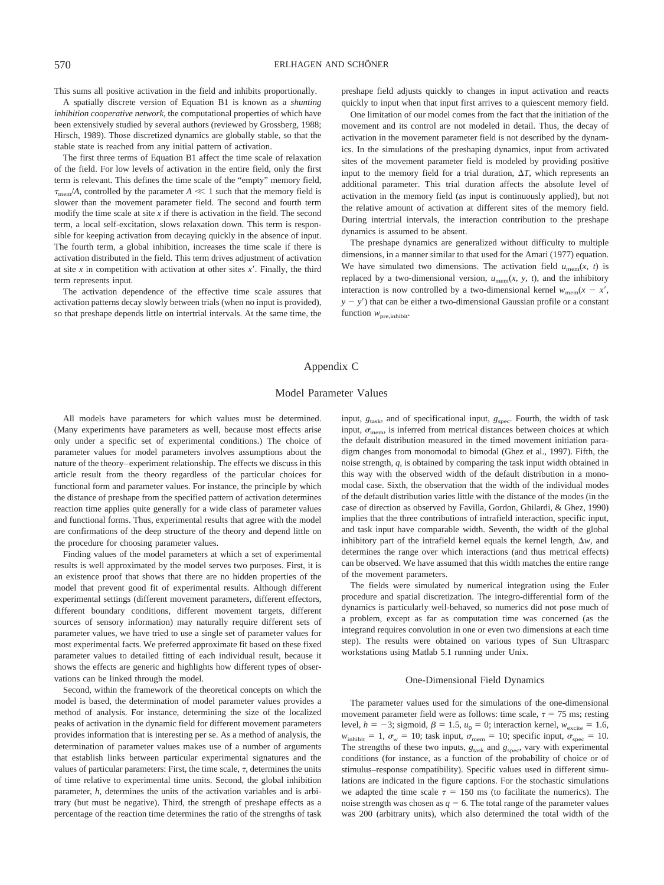This sums all positive activation in the field and inhibits proportionally.

A spatially discrete version of Equation B1 is known as a *shunting inhibition cooperative network,* the computational properties of which have been extensively studied by several authors (reviewed by Grossberg, 1988; Hirsch, 1989). Those discretized dynamics are globally stable, so that the stable state is reached from any initial pattern of activation.

The first three terms of Equation B1 affect the time scale of relaxation of the field. For low levels of activation in the entire field, only the first term is relevant. This defines the time scale of the "empty" memory field,  $\tau_{\text{mem}}/A$ , controlled by the parameter  $A \ll 1$  such that the memory field is slower than the movement parameter field. The second and fourth term modify the time scale at site *x* if there is activation in the field. The second term, a local self-excitation, slows relaxation down. This term is responsible for keeping activation from decaying quickly in the absence of input. The fourth term, a global inhibition, increases the time scale if there is activation distributed in the field. This term drives adjustment of activation at site *x* in competition with activation at other sites *x.* Finally, the third term represents input.

The activation dependence of the effective time scale assures that activation patterns decay slowly between trials (when no input is provided), so that preshape depends little on intertrial intervals. At the same time, the preshape field adjusts quickly to changes in input activation and reacts quickly to input when that input first arrives to a quiescent memory field.

One limitation of our model comes from the fact that the initiation of the movement and its control are not modeled in detail. Thus, the decay of activation in the movement parameter field is not described by the dynamics. In the simulations of the preshaping dynamics, input from activated sites of the movement parameter field is modeled by providing positive input to the memory field for a trial duration,  $\Delta T$ , which represents an additional parameter. This trial duration affects the absolute level of activation in the memory field (as input is continuously applied), but not the relative amount of activation at different sites of the memory field. During intertrial intervals, the interaction contribution to the preshape dynamics is assumed to be absent.

The preshape dynamics are generalized without difficulty to multiple dimensions, in a manner similar to that used for the Amari (1977) equation. We have simulated two dimensions. The activation field  $u_{\text{mem}}(x, t)$  is replaced by a two-dimensional version,  $u_{\text{mem}}(x, y, t)$ , and the inhibitory interaction is now controlled by a two-dimensional kernel  $w_{\text{mem}}(x - x)$ ,  $y - y'$ ) that can be either a two-dimensional Gaussian profile or a constant function  $w_{\text{pre,inhibit}}$ .

# Appendix C

## Model Parameter Values

All models have parameters for which values must be determined. (Many experiments have parameters as well, because most effects arise only under a specific set of experimental conditions.) The choice of parameter values for model parameters involves assumptions about the nature of the theory–experiment relationship. The effects we discuss in this article result from the theory regardless of the particular choices for functional form and parameter values. For instance, the principle by which the distance of preshape from the specified pattern of activation determines reaction time applies quite generally for a wide class of parameter values and functional forms. Thus, experimental results that agree with the model are confirmations of the deep structure of the theory and depend little on the procedure for choosing parameter values.

Finding values of the model parameters at which a set of experimental results is well approximated by the model serves two purposes. First, it is an existence proof that shows that there are no hidden properties of the model that prevent good fit of experimental results. Although different experimental settings (different movement parameters, different effectors, different boundary conditions, different movement targets, different sources of sensory information) may naturally require different sets of parameter values, we have tried to use a single set of parameter values for most experimental facts. We preferred approximate fit based on these fixed parameter values to detailed fitting of each individual result, because it shows the effects are generic and highlights how different types of observations can be linked through the model.

Second, within the framework of the theoretical concepts on which the model is based, the determination of model parameter values provides a method of analysis. For instance, determining the size of the localized peaks of activation in the dynamic field for different movement parameters provides information that is interesting per se. As a method of analysis, the determination of parameter values makes use of a number of arguments that establish links between particular experimental signatures and the values of particular parameters: First, the time scale,  $\tau$ , determines the units of time relative to experimental time units. Second, the global inhibition parameter, *h,* determines the units of the activation variables and is arbitrary (but must be negative). Third, the strength of preshape effects as a percentage of the reaction time determines the ratio of the strengths of task

input,  $g_{\text{task}}$ , and of specificational input,  $g_{\text{spec}}$ . Fourth, the width of task input,  $\sigma_{\text{mem}}$ , is inferred from metrical distances between choices at which the default distribution measured in the timed movement initiation paradigm changes from monomodal to bimodal (Ghez et al., 1997). Fifth, the noise strength, *q,* is obtained by comparing the task input width obtained in this way with the observed width of the default distribution in a monomodal case. Sixth, the observation that the width of the individual modes of the default distribution varies little with the distance of the modes (in the case of direction as observed by Favilla, Gordon, Ghilardi, & Ghez, 1990) implies that the three contributions of intrafield interaction, specific input, and task input have comparable width. Seventh, the width of the global inhibitory part of the intrafield kernel equals the kernel length,  $\Delta w$ , and determines the range over which interactions (and thus metrical effects) can be observed. We have assumed that this width matches the entire range of the movement parameters.

The fields were simulated by numerical integration using the Euler procedure and spatial discretization. The integro-differential form of the dynamics is particularly well-behaved, so numerics did not pose much of a problem, except as far as computation time was concerned (as the integrand requires convolution in one or even two dimensions at each time step). The results were obtained on various types of Sun Ultrasparc workstations using Matlab 5.1 running under Unix.

#### One-Dimensional Field Dynamics

The parameter values used for the simulations of the one-dimensional movement parameter field were as follows: time scale,  $\tau = 75$  ms; resting level,  $h = -3$ ; sigmoid,  $\beta = 1.5$ ,  $u_0 = 0$ ; interaction kernel,  $w_{\text{excite}} = 1.6$ ,  $w_{\text{inhibit}} = 1$ ,  $\sigma_w = 10$ ; task input,  $\sigma_{\text{mem}} = 10$ ; specific input,  $\sigma_{\text{spec}} = 10$ . The strengths of these two inputs,  $g_{\text{task}}$  and  $g_{\text{spec}}$ , vary with experimental conditions (for instance, as a function of the probability of choice or of stimulus–response compatibility). Specific values used in different simulations are indicated in the figure captions. For the stochastic simulations we adapted the time scale  $\tau = 150$  ms (to facilitate the numerics). The noise strength was chosen as  $q = 6$ . The total range of the parameter values was 200 (arbitrary units), which also determined the total width of the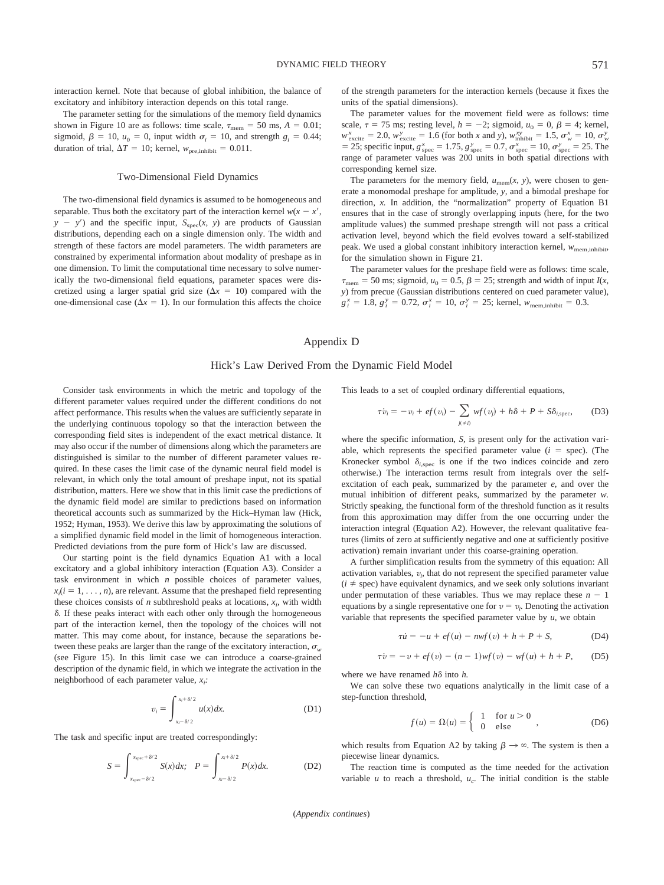interaction kernel. Note that because of global inhibition, the balance of excitatory and inhibitory interaction depends on this total range.

The parameter setting for the simulations of the memory field dynamics shown in Figure 10 are as follows: time scale,  $\tau_{\text{mem}} = 50 \text{ ms}, A = 0.01$ ; sigmoid,  $\beta = 10$ ,  $u_0 = 0$ , input width  $\sigma_i = 10$ , and strength  $g_i = 0.44$ ; duration of trial,  $\Delta T = 10$ ; kernel,  $w_{\text{pre,inhibit}} = 0.011$ .

# Two-Dimensional Field Dynamics

The two-dimensional field dynamics is assumed to be homogeneous and separable. Thus both the excitatory part of the interaction kernel  $w(x - x)$ ,  $y - y'$  and the specific input,  $S_{\text{spec}}(x, y)$  are products of Gaussian distributions, depending each on a single dimension only. The width and strength of these factors are model parameters. The width parameters are constrained by experimental information about modality of preshape as in one dimension. To limit the computational time necessary to solve numerically the two-dimensional field equations, parameter spaces were discretized using a larger spatial grid size  $(\Delta x = 10)$  compared with the one-dimensional case ( $\Delta x = 1$ ). In our formulation this affects the choice of the strength parameters for the interaction kernels (because it fixes the units of the spatial dimensions).

The parameter values for the movement field were as follows: time scale,  $\tau = 75$  ms; resting level,  $h = -2$ ; sigmoid,  $u_0 = 0$ ,  $\beta = 4$ ; kernel,  $w_{\text{excite}}^x = 2.0$ ,  $w_{\text{excite}}^y = 1.6$  (for both *x* and *y*),  $w_{\text{inhibit}}^{xy} = 1.5$ ,  $\sigma_w^x = 10$ ,  $\sigma_w^y$ = 25; specific input,  $g_{\text{spec}}^x = 1.75$ ,  $g_{\text{spec}}^y = 0.7$ ,  $\sigma_{\text{spec}}^x = 10$ ,  $\sigma_{\text{spec}}^y = 25$ . The range of parameter values was 200 units in both spatial directions with corresponding kernel size.

The parameters for the memory field,  $u_{\text{mem}}(x, y)$ , were chosen to generate a monomodal preshape for amplitude, *y,* and a bimodal preshape for direction, *x.* In addition, the "normalization" property of Equation B1 ensures that in the case of strongly overlapping inputs (here, for the two amplitude values) the summed preshape strength will not pass a critical activation level, beyond which the field evolves toward a self-stabilized peak. We used a global constant inhibitory interaction kernel,  $w_{\text{mem,inhibit}}$ , for the simulation shown in Figure 21.

The parameter values for the preshape field were as follows: time scale,  $\tau_{\text{mem}} = 50 \text{ ms}$ ; sigmoid,  $u_0 = 0.5$ ,  $\beta = 25$ ; strength and width of input *I*(*x*, *y*) from precue (Gaussian distributions centered on cued parameter value),  $g_i^x = 1.8$ ,  $g_i^y = 0.72$ ,  $\sigma_i^x = 10$ ,  $\sigma_i^y = 25$ ; kernel,  $w_{\text{mem,inhibit}} = 0.3$ .

# Appendix D

# Hick's Law Derived From the Dynamic Field Model

Consider task environments in which the metric and topology of the different parameter values required under the different conditions do not affect performance. This results when the values are sufficiently separate in the underlying continuous topology so that the interaction between the corresponding field sites is independent of the exact metrical distance. It may also occur if the number of dimensions along which the parameters are distinguished is similar to the number of different parameter values required. In these cases the limit case of the dynamic neural field model is relevant, in which only the total amount of preshape input, not its spatial distribution, matters. Here we show that in this limit case the predictions of the dynamic field model are similar to predictions based on information theoretical accounts such as summarized by the Hick–Hyman law (Hick, 1952; Hyman, 1953). We derive this law by approximating the solutions of a simplified dynamic field model in the limit of homogeneous interaction. Predicted deviations from the pure form of Hick's law are discussed.

Our starting point is the field dynamics Equation A1 with a local excitatory and a global inhibitory interaction (Equation A3). Consider a task environment in which *n* possible choices of parameter values,  $x_i$ ( $i = 1, \ldots, n$ ), are relevant. Assume that the preshaped field representing these choices consists of *n* subthreshold peaks at locations,  $x_i$ , with width . If these peaks interact with each other only through the homogeneous part of the interaction kernel, then the topology of the choices will not matter. This may come about, for instance, because the separations between these peaks are larger than the range of the excitatory interaction,  $\sigma_{\rm w}$ (see Figure 15). In this limit case we can introduce a coarse-grained description of the dynamic field, in which we integrate the activation in the neighborhood of each parameter value, *xi :*

$$
v_i = \int_{x_i - \delta/2}^{x_i + \delta/2} u(x) dx.
$$
 (D1)

The task and specific input are treated correspondingly:

$$
S = \int_{x_{\text{spec}} - \delta/2}^{x_{\text{spec}} + \delta/2} S(x) dx; \quad P = \int_{x_i - \delta/2}^{x_i + \delta/2} P(x) dx. \tag{D2}
$$

This leads to a set of coupled ordinary differential equations,

$$
\tau \dot{v}_i = -v_i + e f(v_i) - \sum_{j(\neq i)} wf(v_j) + h\delta + P + S\delta_{i,\text{spec}}, \quad (D3)
$$

where the specific information, *S,* is present only for the activation variable, which represents the specified parameter value  $(i = spec)$ . (The Kronecker symbol  $\delta_{i, \text{spec}}$  is one if the two indices coincide and zero otherwise.) The interaction terms result from integrals over the selfexcitation of each peak, summarized by the parameter *e,* and over the mutual inhibition of different peaks, summarized by the parameter *w.* Strictly speaking, the functional form of the threshold function as it results from this approximation may differ from the one occurring under the interaction integral (Equation A2). However, the relevant qualitative features (limits of zero at sufficiently negative and one at sufficiently positive activation) remain invariant under this coarse-graining operation.

A further simplification results from the symmetry of this equation: All activation variables,  $v_i$ , that do not represent the specified parameter value  $(i \neq spec)$  have equivalent dynamics, and we seek only solutions invariant under permutation of these variables. Thus we may replace these  $n - 1$ equations by a single representative one for  $v = v_i$ . Denoting the activation variable that represents the specified parameter value by *u,* we obtain

$$
\tau u = -u + e f(u) - n w f(v) + h + P + S,
$$
 (D4)

$$
\tau \dot{v} = -v + e f(v) - (n-1) w f(v) - w f(u) + h + P, \quad (D5)
$$

where we have renamed  $h\delta$  into  $h$ .

We can solve these two equations analytically in the limit case of a step-function threshold,

$$
f(u) = \Omega(u) = \begin{cases} 1 & \text{for } u > 0 \\ 0 & \text{else} \end{cases}
$$
, (D6)

which results from Equation A2 by taking  $\beta \rightarrow \infty$ . The system is then a piecewise linear dynamics.

The reaction time is computed as the time needed for the activation variable  $u$  to reach a threshold,  $u_c$ . The initial condition is the stable